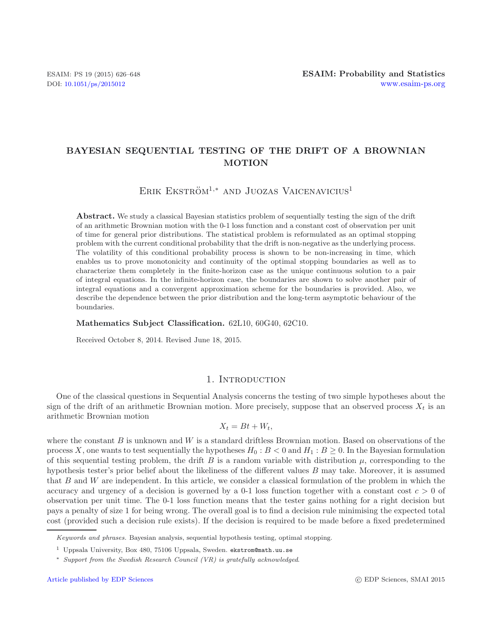# **BAYESIAN SEQUENTIAL TESTING OF THE DRIFT OF A BROWNIAN MOTION**

ERIK EKSTRÖM<sup>1,\*</sup> AND JUOZAS VAICENAVICIUS<sup>1</sup>

**Abstract.** We study a classical Bayesian statistics problem of sequentially testing the sign of the drift of an arithmetic Brownian motion with the 0-1 loss function and a constant cost of observation per unit of time for general prior distributions. The statistical problem is reformulated as an optimal stopping problem with the current conditional probability that the drift is non-negative as the underlying process. The volatility of this conditional probability process is shown to be non-increasing in time, which enables us to prove monotonicity and continuity of the optimal stopping boundaries as well as to characterize them completely in the finite-horizon case as the unique continuous solution to a pair of integral equations. In the infinite-horizon case, the boundaries are shown to solve another pair of integral equations and a convergent approximation scheme for the boundaries is provided. Also, we describe the dependence between the prior distribution and the long-term asymptotic behaviour of the boundaries.

## **Mathematics Subject Classification.** 62L10, 60G40, 62C10.

Received October 8, 2014. Revised June 18, 2015.

## 1. INTRODUCTION

One of the classical questions in Sequential Analysis concerns the testing of two simple hypotheses about the sign of the drift of an arithmetic Brownian motion. More precisely, suppose that an observed process  $X_t$  is an arithmetic Brownian motion

$$
X_t = Bt + W_t,
$$

where the constant  $B$  is unknown and  $W$  is a standard driftless Brownian motion. Based on observations of the process X, one wants to test sequentially the hypotheses  $H_0 : B < 0$  and  $H_1 : B \ge 0$ . In the Bayesian formulation of this sequential testing problem, the drift B is a random variable with distribution  $\mu$ , corresponding to the hypothesis tester's prior belief about the likeliness of the different values B may take. Moreover, it is assumed that B and W are independent. In this article, we consider a classical formulation of the problem in which the accuracy and urgency of a decision is governed by a 0-1 loss function together with a constant cost  $c > 0$  of observation per unit time. The 0-1 loss function means that the tester gains nothing for a right decision but pays a penalty of size 1 for being wrong. The overall goal is to find a decision rule minimising the expected total cost (provided such a decision rule exists). If the decision is required to be made before a fixed predetermined

*Keywords and phrases.* Bayesian analysis, sequential hypothesis testing, optimal stopping.

<sup>&</sup>lt;sup>1</sup> Uppsala University, Box 480, 75106 Uppsala, Sweden. ekstrom@math.uu.se

<sup>∗</sup> *Support from the Swedish Research Council (VR) is gratefully acknowledged*.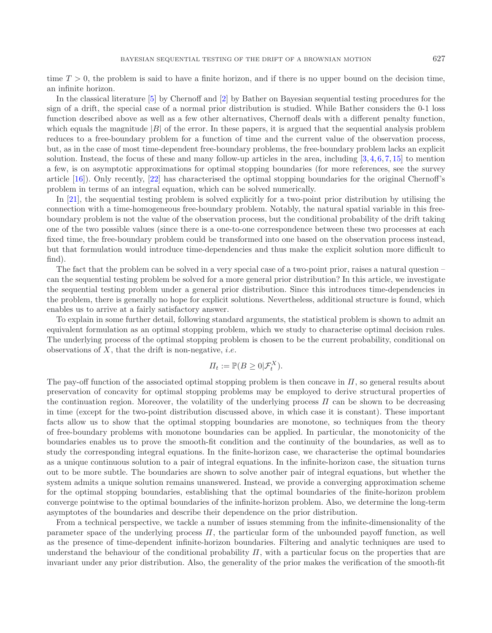time  $T > 0$ , the problem is said to have a finite horizon, and if there is no upper bound on the decision time, an infinite horizon.

In the classical literature [\[5\]](#page-22-0) by Chernoff and [\[2\]](#page-22-1) by Bather on Bayesian sequential testing procedures for the sign of a drift, the special case of a normal prior distribution is studied. While Bather considers the 0-1 loss function described above as well as a few other alternatives, Chernoff deals with a different penalty function, which equals the magnitude  $|B|$  of the error. In these papers, it is argued that the sequential analysis problem reduces to a free-boundary problem for a function of time and the current value of the observation process, but, as in the case of most time-dependent free-boundary problems, the free-boundary problem lacks an explicit solution. Instead, the focus of these and many follow-up articles in the area, including  $[3, 4, 6, 7, 15]$  $[3, 4, 6, 7, 15]$  $[3, 4, 6, 7, 15]$  $[3, 4, 6, 7, 15]$  $[3, 4, 6, 7, 15]$  $[3, 4, 6, 7, 15]$  $[3, 4, 6, 7, 15]$  $[3, 4, 6, 7, 15]$  $[3, 4, 6, 7, 15]$  $[3, 4, 6, 7, 15]$  to mention a few, is on asymptotic approximations for optimal stopping boundaries (for more references, see the survey article [\[16](#page-22-7)]). Only recently, [\[22\]](#page-22-8) has characterised the optimal stopping boundaries for the original Chernoff's problem in terms of an integral equation, which can be solved numerically.

In [\[21\]](#page-22-9), the sequential testing problem is solved explicitly for a two-point prior distribution by utilising the connection with a time-homogeneous free-boundary problem. Notably, the natural spatial variable in this freeboundary problem is not the value of the observation process, but the conditional probability of the drift taking one of the two possible values (since there is a one-to-one correspondence between these two processes at each fixed time, the free-boundary problem could be transformed into one based on the observation process instead, but that formulation would introduce time-dependencies and thus make the explicit solution more difficult to find).

The fact that the problem can be solved in a very special case of a two-point prior, raises a natural question – can the sequential testing problem be solved for a more general prior distribution? In this article, we investigate the sequential testing problem under a general prior distribution. Since this introduces time-dependencies in the problem, there is generally no hope for explicit solutions. Nevertheless, additional structure is found, which enables us to arrive at a fairly satisfactory answer.

To explain in some further detail, following standard arguments, the statistical problem is shown to admit an equivalent formulation as an optimal stopping problem, which we study to characterise optimal decision rules. The underlying process of the optimal stopping problem is chosen to be the current probability, conditional on observations of  $X$ , that the drift is non-negative, *i.e.* 

$$
\Pi_t := \mathbb{P}(B \ge 0 | \mathcal{F}_t^X).
$$

The pay-off function of the associated optimal stopping problem is then concave in  $\Pi$ , so general results about preservation of concavity for optimal stopping problems may be employed to derive structural properties of the continuation region. Moreover, the volatility of the underlying process  $\Pi$  can be shown to be decreasing in time (except for the two-point distribution discussed above, in which case it is constant). These important facts allow us to show that the optimal stopping boundaries are monotone, so techniques from the theory of free-boundary problems with monotone boundaries can be applied. In particular, the monotonicity of the boundaries enables us to prove the smooth-fit condition and the continuity of the boundaries, as well as to study the corresponding integral equations. In the finite-horizon case, we characterise the optimal boundaries as a unique continuous solution to a pair of integral equations. In the infinite-horizon case, the situation turns out to be more subtle. The boundaries are shown to solve another pair of integral equations, but whether the system admits a unique solution remains unanswered. Instead, we provide a converging approximation scheme for the optimal stopping boundaries, establishing that the optimal boundaries of the finite-horizon problem converge pointwise to the optimal boundaries of the infinite-horizon problem. Also, we determine the long-term asymptotes of the boundaries and describe their dependence on the prior distribution.

From a technical perspective, we tackle a number of issues stemming from the infinite-dimensionality of the parameter space of the underlying process  $\Pi$ , the particular form of the unbounded payoff function, as well as the presence of time-dependent infinite-horizon boundaries. Filtering and analytic techniques are used to understand the behaviour of the conditional probability  $\Pi$ , with a particular focus on the properties that are invariant under any prior distribution. Also, the generality of the prior makes the verification of the smooth-fit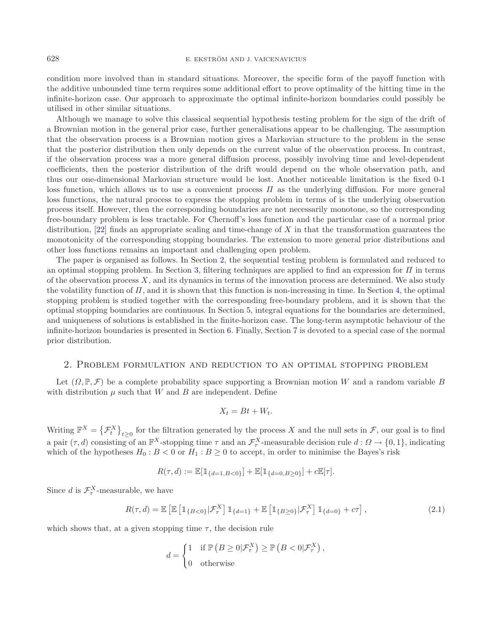condition more involved than in standard situations. Moreover, the specific form of the payoff function with the additive unbounded time term requires some additional effort to prove optimality of the hitting time in the infinite-horizon case. Our approach to approximate the optimal infinite-horizon boundaries could possibly be utilised in other similar situations.

Although we manage to solve this classical sequential hypothesis testing problem for the sign of the drift of a Brownian motion in the general prior case, further generalisations appear to be challenging. The assumption that the observation process is a Brownian motion gives a Markovian structure to the problem in the sense that the posterior distribution then only depends on the current value of the observation process. In contrast, if the observation process was a more general diffusion process, possibly involving time and level-dependent coefficients, then the posterior distribution of the drift would depend on the whole observation path, and thus our one-dimensional Markovian structure would be lost. Another noticeable limitation is the fixed 0-1 loss function, which allows us to use a convenient process  $\Pi$  as the underlying diffusion. For more general loss functions, the natural process to express the stopping problem in terms of is the underlying observation process itself. However, then the corresponding boundaries are not necessarily monotone, so the corresponding free-boundary problem is less tractable. For Chernoff's loss function and the particular case of a normal prior distribution,  $[22]$  finds an appropriate scaling and time-change of X in that the transformation guarantees the monotonicity of the corresponding stopping boundaries. The extension to more general prior distributions and other loss functions remains an important and challenging open problem.

The paper is organised as follows. In Section [2,](#page-2-0) the sequential testing problem is formulated and reduced to an optimal stopping problem. In Section [3,](#page-3-0) filtering techniques are applied to find an expression for  $\Pi$  in terms of the observation process  $X$ , and its dynamics in terms of the innovation process are determined. We also study the volatility function of  $\Pi$ , and it is shown that this function is non-increasing in time. In Section [4,](#page-10-0) the optimal stopping problem is studied together with the corresponding free-boundary problem, and it is shown that the optimal stopping boundaries are continuous. In Section [5,](#page-16-0) integral equations for the boundaries are determined, and uniqueness of solutions is established in the finite-horizon case. The long-term asymptotic behaviour of the infinite-horizon boundaries is presented in Section [6.](#page-18-0) Finally, Section [7](#page-21-0) is devoted to a special case of the normal prior distribution.

# 2. Problem formulation and reduction to an optimal stopping problem

<span id="page-2-0"></span>Let  $(\Omega, \mathbb{P}, \mathcal{F})$  be a complete probability space supporting a Brownian motion W and a random variable B with distribution  $\mu$  such that W and B are independent. Define

$$
X_t = Bt + W_t.
$$

Writing  $\mathbb{F}^X = \left\{ \mathcal{F}^X_t \right\}_{t \geq 0}$  for the filtration generated by the process X and the null sets in  $\mathcal{F}$ , our goal is to find a pair  $(\tau, d)$  consisting of an  $\mathbb{F}^X$ -stopping time  $\tau$  and an  $\mathcal{F}^X_\tau$ -measurable decision rule  $d : \Omega \to \{0, 1\}$ , indicating which of the hypotheses  $H_0 : B < 0$  or  $H_1 : B \ge 0$  to accept, in order to minimise the Bayes's risk

$$
R(\tau, d) := \mathbb{E}[\mathbb{1}_{\{d=1, B<0\}}] + \mathbb{E}[\mathbb{1}_{\{d=0, B\geq 0\}}] + c\mathbb{E}[\tau].
$$

Since d is  $\mathcal{F}^X_\tau$ -measurable, we have

$$
R(\tau, d) = \mathbb{E}\left[\mathbb{E}\left[\mathbb{1}_{\{B<0\}}|\mathcal{F}^X_\tau\right]\mathbb{1}_{\{d=1\}} + \mathbb{E}\left[\mathbb{1}_{\{B\geq 0\}}|\mathcal{F}^X_\tau\right]\mathbb{1}_{\{d=0\}} + c\tau\right],\tag{2.1}
$$

which shows that, at a given stopping time  $\tau$ , the decision rule

$$
d = \begin{cases} 1 & \text{if } \mathbb{P}\left(B \ge 0 | \mathcal{F}_{\tau}^{X}\right) \ge \mathbb{P}\left(B < 0 | \mathcal{F}_{\tau}^{X}\right), \\ 0 & \text{otherwise} \end{cases}
$$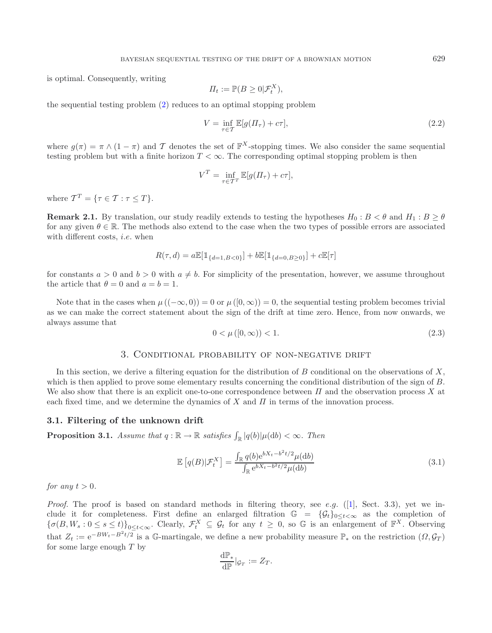is optimal. Consequently, writing

$$
\Pi_t := \mathbb{P}(B \ge 0 | \mathcal{F}_t^X),
$$

the sequential testing problem [\(2\)](#page-2-0) reduces to an optimal stopping problem

$$
V = \inf_{\tau \in \mathcal{T}} \mathbb{E}[g(\Pi_{\tau}) + c\tau],\tag{2.2}
$$

where  $g(\pi) = \pi \wedge (1 - \pi)$  and T denotes the set of  $\mathbb{F}^{X}$ -stopping times. We also consider the same sequential testing problem but with a finite horizon  $T < \infty$ . The corresponding optimal stopping problem is then

$$
V^T = \inf_{\tau \in \mathcal{T}^T} \mathbb{E}[g(\Pi_\tau) + c\tau],
$$

<span id="page-3-2"></span>where  $\mathcal{T}^T = \{ \tau \in \mathcal{T} : \tau \leq T \}.$ 

**Remark 2.1.** By translation, our study readily extends to testing the hypotheses  $H_0: B < \theta$  and  $H_1: B \ge \theta$ for any given  $\theta \in \mathbb{R}$ . The methods also extend to the case when the two types of possible errors are associated with different costs, *i.e.* when

$$
R(\tau, d) = a \mathbb{E}[\mathbb{1}_{\{d=1, B<0\}}] + b \mathbb{E}[\mathbb{1}_{\{d=0, B\geq 0\}}] + c \mathbb{E}[\tau]
$$

for constants  $a > 0$  and  $b > 0$  with  $a \neq b$ . For simplicity of the presentation, however, we assume throughout the article that  $\theta = 0$  and  $a = b = 1$ .

Note that in the cases when  $\mu((-\infty,0)) = 0$  or  $\mu([0,\infty)) = 0$ , the sequential testing problem becomes trivial as we can make the correct statement about the sign of the drift at time zero. Hence, from now onwards, we always assume that

<span id="page-3-3"></span>
$$
0 < \mu([0, \infty)) < 1. \tag{2.3}
$$

# 3. Conditional probability of non-negative drift

<span id="page-3-0"></span>In this section, we derive a filtering equation for the distribution of B conditional on the observations of X, which is then applied to prove some elementary results concerning the conditional distribution of the sign of B. We also show that there is an explicit one-to-one correspondence between  $\Pi$  and the observation process X at each fixed time, and we determine the dynamics of X and  $\Pi$  in terms of the innovation process.

### <span id="page-3-1"></span>**3.1. Filtering of the unknown drift**

**Proposition 3.1.** *Assume that*  $q : \mathbb{R} \to \mathbb{R}$  *satisfies*  $\int_{\mathbb{R}} |q(b)| \mu(db) < \infty$ *. Then* 

$$
\mathbb{E}\left[q(B)|\mathcal{F}_t^X\right] = \frac{\int_{\mathbb{R}} q(b)e^{bX_t - b^2t/2}\mu(\mathrm{d}b)}{\int_{\mathbb{R}} e^{bX_t - b^2t/2}\mu(\mathrm{d}b)}\tag{3.1}
$$

*for any*  $t > 0$ *.* 

*Proof.* The proof is based on standard methods in filtering theory, see e.g.  $([1],$  $([1],$  $([1],$  Sect. 3.3), yet we include it for completeness. First define an enlarged filtration  $\mathbb{G} = {\mathcal{G}_t}_{0 \le t < \infty}$  as the completion of  ${\{\sigma(B, W_s : 0 \le s \le t)\}}_{0 \le t < \infty}$ . Clearly,  $\mathcal{F}_t^X \subseteq \mathcal{G}_t$  for any  $t \ge 0$ , so G is an enlargement of  $\mathbb{F}^X$ . Observing that  $Z_t := e^{-BW_t-B^2t/2}$  is a G-martingale, we define a new probability measure  $\mathbb{P}_*$  on the restriction  $(\Omega, \mathcal{G}_T)$ for some large enough  $T$  by

$$
\frac{\mathrm{d}\mathbb{P}_*}{\mathrm{d}\mathbb{P}}|_{\mathcal{G}_T}:=Z_T.
$$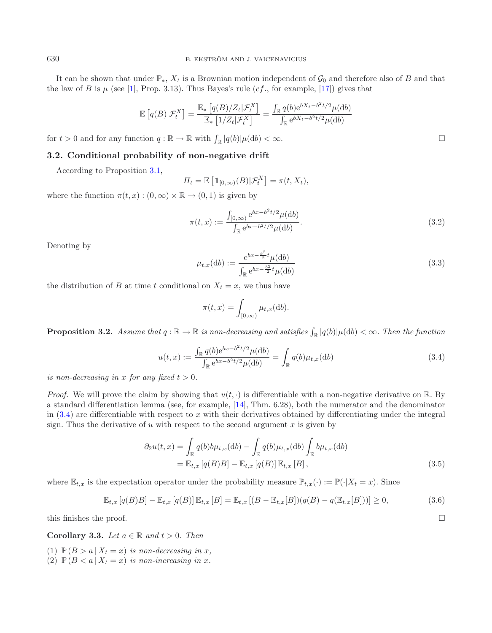It can be shown that under  $\mathbb{P}_*$ ,  $X_t$  is a Brownian motion independent of  $\mathcal{G}_0$  and therefore also of B and that the law of B is  $\mu$  (see [\[1\]](#page-22-10), Prop. 3.13). Thus Bayes's rule (cf., for example, [\[17\]](#page-22-11)) gives that

<span id="page-4-2"></span>
$$
\mathbb{E}\left[q(B)|\mathcal{F}_t^X\right] = \frac{\mathbb{E}_*\left[q(B)/Z_t|\mathcal{F}_t^X\right]}{\mathbb{E}_*\left[1/Z_t|\mathcal{F}_t^X\right]} = \frac{\int_{\mathbb{R}} q(b)e^{bX_t - b^2t/2}\mu(\mathrm{d}b)}{\int_{\mathbb{R}} e^{bX_t - b^2t/2}\mu(\mathrm{d}b)}
$$

<span id="page-4-4"></span>for  $t > 0$  and for any function  $q : \mathbb{R} \to \mathbb{R}$  with  $\int_{\mathbb{R}} |q(b)| \mu(\mathrm{d}b) < \infty$ .

# **3.2. Conditional probability of non-negative drift**

According to Proposition [3.1,](#page-3-1)

$$
\Pi_t = \mathbb{E}\left[\mathbb{1}_{[0,\infty)}(B)|\mathcal{F}_t^X\right] = \pi(t, X_t),
$$

<span id="page-4-0"></span>where the function  $\pi(t, x) : (0, \infty) \times \mathbb{R} \to (0, 1)$  is given by

$$
\pi(t,x) := \frac{\int_{[0,\infty)} e^{bx - b^2 t/2} \mu(\mathrm{d}b)}{\int_{\mathbb{R}} e^{bx - b^2 t/2} \mu(\mathrm{d}b)}.
$$
\n(3.2)

Denoting by

$$
\mu_{t,x}(\mathrm{d}b) := \frac{\mathrm{e}^{bx - \frac{b^2}{2}t} \mu(\mathrm{d}b)}{\int_{\mathbb{R}} \mathrm{e}^{bx - \frac{b^2}{2}t} \mu(\mathrm{d}b)}\tag{3.3}
$$

the distribution of B at time t conditional on  $X_t = x$ , we thus have

<span id="page-4-5"></span><span id="page-4-3"></span>
$$
\pi(t,x) = \int_{[0,\infty)} \mu_{t,x}(\mathrm{d}b).
$$

<span id="page-4-1"></span>**Proposition 3.2.** *Assume that*  $q : \mathbb{R} \to \mathbb{R}$  *is non-decreasing and satisfies*  $\int_{\mathbb{R}} |q(b)| \mu(db) < \infty$ *. Then the function* 

$$
u(t,x) := \frac{\int_{\mathbb{R}} q(b)e^{bx - b^2t/2} \mu(\mathrm{d}b)}{\int_{\mathbb{R}} e^{bx - b^2t/2} \mu(\mathrm{d}b)} = \int_{\mathbb{R}} q(b) \mu_{t,x}(\mathrm{d}b)
$$
(3.4)

*is non-decreasing in* x for any fixed  $t > 0$ .

*Proof.* We will prove the claim by showing that  $u(t, \cdot)$  is differentiable with a non-negative derivative on R. By a standard differentiation lemma (see, for example, [\[14](#page-22-12)], Thm. 6.28), both the numerator and the denominator in  $(3.4)$  are differentiable with respect to x with their derivatives obtained by differentiating under the integral sign. Thus the derivative of u with respect to the second argument x is given by

$$
\partial_2 u(t,x) = \int_{\mathbb{R}} q(b) b\mu_{t,x}(\mathrm{d}b) - \int_{\mathbb{R}} q(b)\mu_{t,x}(\mathrm{d}b) \int_{\mathbb{R}} b\mu_{t,x}(\mathrm{d}b)
$$
  
=  $\mathbb{E}_{t,x} [q(B)B] - \mathbb{E}_{t,x} [q(B)] \mathbb{E}_{t,x} [B],$  (3.5)

 $\Box$ 

where  $\mathbb{E}_{t,x}$  is the expectation operator under the probability measure  $\mathbb{P}_{t,x}(\cdot) := \mathbb{P}(\cdot|X_t = x)$ . Since

$$
\mathbb{E}_{t,x}[q(B)B] - \mathbb{E}_{t,x}[q(B)]\,\mathbb{E}_{t,x}[B] = \mathbb{E}_{t,x}[(B - \mathbb{E}_{t,x}[B])(q(B) - q(\mathbb{E}_{t,x}[B]))] \geq 0,\tag{3.6}
$$

<span id="page-4-6"></span>this finishes the proof.

**Corollary 3.3.** *Let*  $a \in \mathbb{R}$  *and*  $t > 0$ *. Then* 

(1)  $\mathbb{P}(B > a | X_t = x)$  *is non-decreasing in* x,

(2)  $\mathbb{P}(B < a \mid X_t = x)$  *is non-increasing in x*.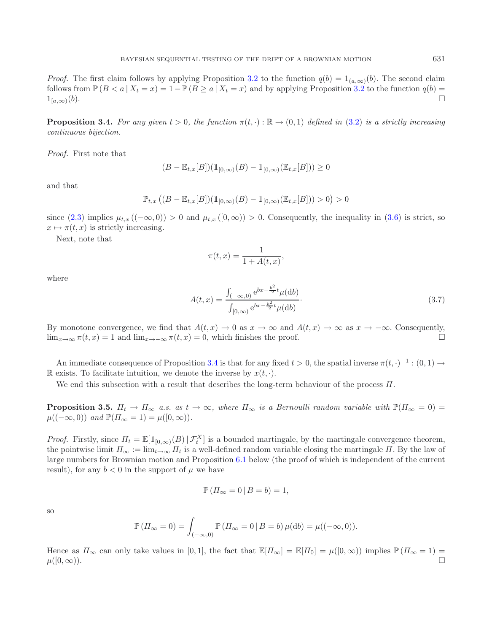*Proof.* The first claim follows by applying Proposition [3.2](#page-4-1) to the function  $q(b)=1_{(a,\infty)}(b)$ . The second claim follows from  $\mathbb{P}(B \le a | X_t = x) = 1 - \mathbb{P}(B \ge a | X_t = x)$  and by applying Proposition [3.2](#page-4-1) to the function  $q(b) =$  $1_{[a,\infty)}(b).$  $\Box$ 

<span id="page-5-0"></span>**Proposition 3.4.** *For any given*  $t > 0$ *, the function*  $\pi(t, \cdot) : \mathbb{R} \to (0, 1)$  *defined in* [\(3.2\)](#page-4-2) *is a strictly increasing continuous bijection.*

*Proof.* First note that

$$
(B - \mathbb{E}_{t,x}[B])(\mathbb{1}_{[0,\infty)}(B) - \mathbb{1}_{[0,\infty)}(\mathbb{E}_{t,x}[B])) \ge 0
$$

and that

$$
\mathbb{P}_{t,x}\left( (B - \mathbb{E}_{t,x}[B])(\mathbb{1}_{[0,\infty)}(B) - \mathbb{1}_{[0,\infty)}(\mathbb{E}_{t,x}[B])) > 0 \right) > 0
$$

since  $(2.3)$  implies  $\mu_{t,x}$  ( $(-\infty,0)$ ) > 0 and  $\mu_{t,x}$  ( $[0,\infty)$ ) > 0. Consequently, the inequality in  $(3.6)$  is strict, so  $x \mapsto \pi(t, x)$  is strictly increasing.

Next, note that

$$
\pi(t,x) = \frac{1}{1 + A(t,x)},
$$

where

$$
A(t,x) = \frac{\int_{(-\infty,0)} e^{bx - \frac{b^2}{2}t} \mu(\mathrm{d}b)}{\int_{[0,\infty)} e^{bx - \frac{b^2}{2}t} \mu(\mathrm{d}b)}.
$$
\n(3.7)

By monotone convergence, we find that  $A(t, x) \to 0$  as  $x \to \infty$  and  $A(t, x) \to \infty$  as  $x \to -\infty$ . Consequently,  $\lim_{x\to\infty} \pi(t,x) = 1$  and  $\lim_{x\to-\infty} \pi(t,x) = 0$ , which finishes the proof.

An immediate consequence of Proposition [3.4](#page-5-0) is that for any fixed  $t > 0$ , the spatial inverse  $\pi(t, \cdot)^{-1} : (0, 1) \to$ R exists. To facilitate intuition, we denote the inverse by  $x(t, \cdot)$ .

We end this subsection with a result that describes the long-term behaviour of the process  $\Pi$ .

<span id="page-5-1"></span>**Proposition 3.5.**  $\Pi_t \to \Pi_\infty$  *a.s. as*  $t \to \infty$ *, where*  $\Pi_\infty$  *is a Bernoulli random variable with*  $\mathbb{P}(\Pi_\infty = 0)$  $\mu((-\infty,0))$  *and*  $\mathbb{P}(H_{\infty}=1) = \mu([0,\infty)).$ 

*Proof.* Firstly, since  $\Pi_t = \mathbb{E}[\mathbb{1}_{[0,\infty)}(B) | \mathcal{F}_t^X]$  is a bounded martingale, by the martingale convergence theorem, the pointwise limit  $\Pi_{\infty} := \lim_{t \to \infty} \Pi_t$  is a well-defined random variable closing the martingale  $\Pi$ . By the law of large numbers for Brownian motion and Proposition [6.1](#page-18-1) below (the proof of which is independent of the current result), for any  $b < 0$  in the support of  $\mu$  we have

$$
\mathbb{P}\left(\varPi_{\infty}=0\,\big|\,B=b\right)=1,
$$

so

$$
\mathbb{P}\left(\Pi_{\infty}=0\right)=\int_{(-\infty,0)}\mathbb{P}\left(\Pi_{\infty}=0\,|\,B=b\right)\mu(\mathrm{d}b)=\mu((-\infty,0)).
$$

Hence as  $\Pi_{\infty}$  can only take values in [0,1], the fact that  $\mathbb{E}[H_{\infty}] = \mathbb{E}[H_0] = \mu([0,\infty))$  implies  $\mathbb{P}(H_{\infty} = 1) =$  $\mu([0,\infty)).$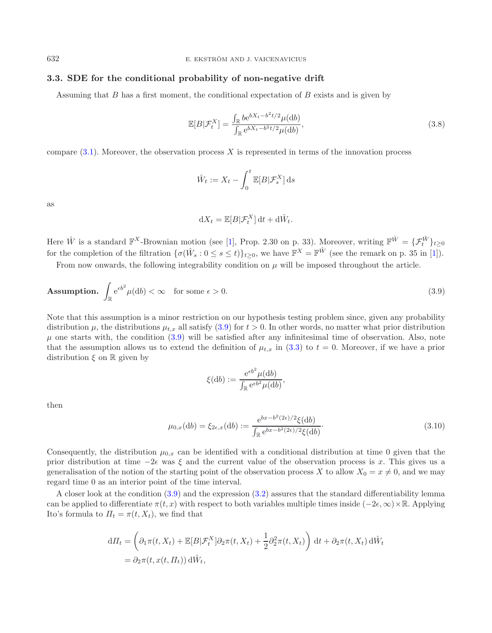# **3.3. SDE for the conditional probability of non-negative drift**

Assuming that  $B$  has a first moment, the conditional expectation of  $B$  exists and is given by

<span id="page-6-1"></span>
$$
\mathbb{E}[B|\mathcal{F}_t^X] = \frac{\int_{\mathbb{R}} b e^{bX_t - b^2 t/2} \mu(\mathrm{d}b)}{\int_{\mathbb{R}} e^{bX_t - b^2 t/2} \mu(\mathrm{d}b)},\tag{3.8}
$$

compare  $(3.1)$ . Moreover, the observation process X is represented in terms of the innovation process

<span id="page-6-0"></span>
$$
\hat{W}_t := X_t - \int_0^t \mathbb{E}[B|\mathcal{F}_s^X] \,\mathrm{d}s
$$

as

$$
\mathrm{d}X_t = \mathbb{E}[B|\mathcal{F}_t^X] \,\mathrm{d}t + \mathrm{d}\hat{W}_t.
$$

Here  $\hat{W}$  is a standard  $\mathbb{F}^{X}$ -Brownian motion (see [\[1](#page-22-10)], Prop. 2.30 on p. 33). Moreover, writing  $\mathbb{F}^{\hat{W}} = {\{\mathcal{F}^{\hat{W}}_t\}_{t \geq 0}}$ for the completion of the filtration  $\{\sigma(\hat{W}_s: 0 \le s \le t)\}_{t \ge 0}$ , we have  $\mathbb{F}^X = \mathbb{F}^{\hat{W}}$  (see the remark on p. 35 in [\[1\]](#page-22-10)).

From now onwards, the following integrability condition on  $\mu$  will be imposed throughout the article.

<span id="page-6-2"></span>**Assumption.** 
$$
\int_{\mathbb{R}} e^{\epsilon b^2} \mu(\mathrm{d}b) < \infty \quad \text{for some } \epsilon > 0. \tag{3.9}
$$

Note that this assumption is a minor restriction on our hypothesis testing problem since, given any probability distribution  $\mu$ , the distributions  $\mu_{t,x}$  all satisfy [\(3.9\)](#page-6-0) for  $t > 0$ . In other words, no matter what prior distribution  $\mu$  one starts with, the condition [\(3.9\)](#page-6-0) will be satisfied after any infinitesimal time of observation. Also, note that the assumption allows us to extend the definition of  $\mu_{t,x}$  in [\(3.3\)](#page-4-4) to  $t = 0$ . Moreover, if we have a prior distribution  $\xi$  on  $\mathbb R$  given by

$$
\xi(\mathrm{d}b) := \frac{\mathrm{e}^{\epsilon b^2} \mu(\mathrm{d}b)}{\int_{\mathbb{R}} \mathrm{e}^{\epsilon b^2} \mu(\mathrm{d}b)},
$$

then

$$
\mu_{0,x}(\mathrm{d}b) = \xi_{2\epsilon,x}(\mathrm{d}b) := \frac{\mathrm{e}^{bx - b^2(2\epsilon)/2}\xi(\mathrm{d}b)}{\int_{\mathbb{R}} \mathrm{e}^{bx - b^2(2\epsilon)/2}\xi(\mathrm{d}b)}.\tag{3.10}
$$

Consequently, the distribution  $\mu_{0,x}$  can be identified with a conditional distribution at time 0 given that the prior distribution at time  $-2\epsilon$  was  $\xi$  and the current value of the observation process is x. This gives us a generalisation of the notion of the starting point of the observation process X to allow  $X_0 = x \neq 0$ , and we may regard time 0 as an interior point of the time interval.

A closer look at the condition [\(3.9\)](#page-6-0) and the expression [\(3.2\)](#page-4-2) assures that the standard differentiability lemma can be applied to differentiate  $\pi(t, x)$  with respect to both variables multiple times inside  $(-2\epsilon, \infty) \times \mathbb{R}$ . Applying Ito's formula to  $\Pi_t = \pi(t, X_t)$ , we find that

$$
d\Pi_t = \left(\partial_1 \pi(t, X_t) + \mathbb{E}[B|\mathcal{F}_t^X]\partial_2 \pi(t, X_t) + \frac{1}{2}\partial_2^2 \pi(t, X_t)\right) dt + \partial_2 \pi(t, X_t) d\hat{W}_t
$$
  
=  $\partial_2 \pi(t, x(t, \Pi_t)) d\hat{W}_t$ ,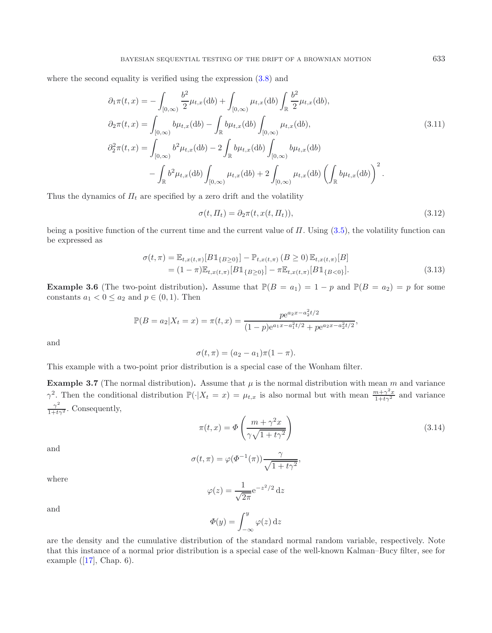where the second equality is verified using the expression  $(3.8)$  and

<span id="page-7-0"></span>
$$
\partial_1 \pi(t, x) = -\int_{[0, \infty)} \frac{b^2}{2} \mu_{t, x}(db) + \int_{[0, \infty)} \mu_{t, x}(db) \int_{\mathbb{R}} \frac{b^2}{2} \mu_{t, x}(db),
$$
  
\n
$$
\partial_2 \pi(t, x) = \int_{[0, \infty)} b \mu_{t, x}(db) - \int_{\mathbb{R}} b \mu_{t, x}(db) \int_{[0, \infty)} \mu_{t, x}(db),
$$
  
\n
$$
\partial_2^2 \pi(t, x) = \int_{[0, \infty)} b^2 \mu_{t, x}(db) - 2 \int_{\mathbb{R}} b \mu_{t, x}(db) \int_{[0, \infty)} b \mu_{t, x}(db)
$$
  
\n
$$
- \int_{\mathbb{R}} b^2 \mu_{t, x}(db) \int_{[0, \infty)} \mu_{t, x}(db) + 2 \int_{[0, \infty)} \mu_{t, x}(db) \left( \int_{\mathbb{R}} b \mu_{t, x}(db) \right)^2.
$$
\n(3.11)

Thus the dynamics of  $\Pi_t$  are specified by a zero drift and the volatility

$$
\sigma(t, \Pi_t) = \partial_2 \pi(t, x(t, \Pi_t)),\tag{3.12}
$$

being a positive function of the current time and the current value of  $\Pi$ . Using [\(3.5\)](#page-4-5), the volatility function can be expressed as

$$
\sigma(t,\pi) = \mathbb{E}_{t,x(t,\pi)}[B1_{\{B \ge 0\}}] - \mathbb{P}_{t,x(t,\pi)}(B \ge 0) \mathbb{E}_{t,x(t,\pi)}[B]
$$
  
=  $(1 - \pi)\mathbb{E}_{t,x(t,\pi)}[B1_{\{B \ge 0\}}] - \pi \mathbb{E}_{t,x(t,\pi)}[B1_{\{B < 0\}}].$  (3.13)

<span id="page-7-2"></span>**Example 3.6** (The two-point distribution). Assume that  $\mathbb{P}(B = a_1) = 1 - p$  and  $\mathbb{P}(B = a_2) = p$  for some constants  $a_1 < 0 \le a_2$  and  $p \in (0,1)$ . Then

$$
\mathbb{P}(B = a_2 | X_t = x) = \pi(t, x) = \frac{p e^{a_2 x - a_2^2 t/2}}{(1 - p) e^{a_1 x - a_1^2 t/2} + p e^{a_2 x - a_2^2 t/2}},
$$

and

$$
\sigma(t,\pi) = (a_2 - a_1)\pi(1 - \pi).
$$

This example with a two-point prior distribution is a special case of the Wonham filter.

**Example 3.7** (The normal distribution). Assume that  $\mu$  is the normal distribution with mean m and variance  $\gamma^2$ . Then the conditional distribution  $\mathbb{P}(\cdot|X_t=x) = \mu_{t,x}$  is also normal but with mean  $\frac{m+\gamma^2x}{1+t\gamma^2}$  and variance  $\frac{\gamma^2}{1+t\gamma^2}$ . Consequently,

$$
\pi(t,x) = \Phi\left(\frac{m + \gamma^2 x}{\gamma \sqrt{1 + t \gamma^2}}\right)
$$
\n(3.14)

and

$$
\sigma(t,\pi) = \varphi(\Phi^{-1}(\pi)) \frac{\gamma}{\sqrt{1+t\gamma^2}},
$$

where

$$
\varphi(z) = \frac{1}{\sqrt{2\pi}} e^{-z^2/2} dz
$$

and

$$
\Phi(y) = \int_{-\infty}^{y} \varphi(z) \, \mathrm{d}z
$$

are the density and the cumulative distribution of the standard normal random variable, respectively. Note that this instance of a normal prior distribution is a special case of the well-known Kalman–Bucy filter, see for example  $([17], \text{Chap. } 6)$  $([17], \text{Chap. } 6)$  $([17], \text{Chap. } 6)$ .

<span id="page-7-1"></span>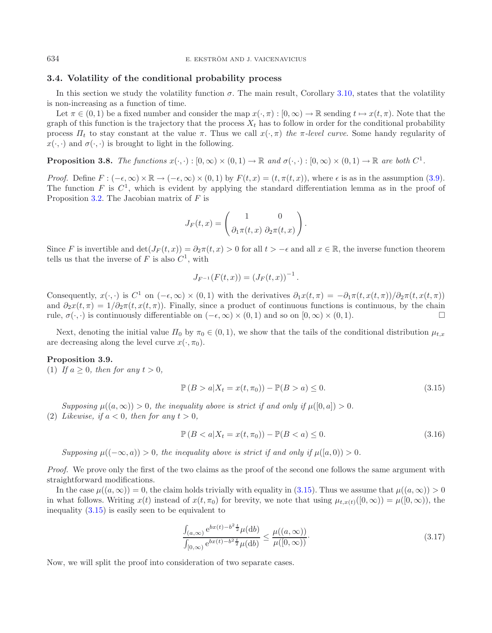634 E. EKSTRÖM AND J. VAICENAVICIUS

## **3.4. Volatility of the conditional probability process**

In this section we study the volatility function  $\sigma$ . The main result, Corollary [3.10,](#page-9-0) states that the volatility is non-increasing as a function of time.

Let  $\pi \in (0,1)$  be a fixed number and consider the map  $x(\cdot,\pi): [0,\infty) \to \mathbb{R}$  sending  $t \mapsto x(t,\pi)$ . Note that the graph of this function is the trajectory that the process  $X_t$  has to follow in order for the conditional probability process  $\Pi_t$  to stay constant at the value  $\pi$ . Thus we call  $x(\cdot, \pi)$  *the*  $\pi$ *-level curve*. Some handy regularity of  $x(\cdot, \cdot)$  and  $\sigma(\cdot, \cdot)$  is brought to light in the following.

<span id="page-8-3"></span>**Proposition 3.8.** *The functions*  $x(\cdot, \cdot) : [0, \infty) \times (0, 1) \to \mathbb{R}$  *and*  $\sigma(\cdot, \cdot) : [0, \infty) \times (0, 1) \to \mathbb{R}$  *are both*  $C^1$ *.* 

*Proof.* Define  $F: (-\epsilon, \infty) \times \mathbb{R} \to (-\epsilon, \infty) \times (0, 1)$  by  $F(t, x) = (t, \pi(t, x))$ , where  $\epsilon$  is as in the assumption [\(3.9\)](#page-6-0). The function F is  $C^1$ , which is evident by applying the standard differentiation lemma as in the proof of Proposition [3.2.](#page-4-1) The Jacobian matrix of  $F$  is

$$
J_F(t,x) = \begin{pmatrix} 1 & 0 \\ \partial_1 \pi(t,x) & \partial_2 \pi(t,x) \end{pmatrix}.
$$

<span id="page-8-0"></span>Since F is invertible and  $\det(J_F(t, x)) = \partial_2 \pi(t, x) > 0$  for all  $t > -\epsilon$  and all  $x \in \mathbb{R}$ , the inverse function theorem tells us that the inverse of  $F$  is also  $C^1$ , with

$$
J_{F^{-1}}(F(t,x)) = (J_F(t,x))^{-1}.
$$

Consequently,  $x(\cdot, \cdot)$  is  $C^1$  on  $(-\epsilon, \infty) \times (0, 1)$  with the derivatives  $\partial_1 x(t, \pi) = -\partial_1 \pi(t, x(t, \pi))/\partial_2 \pi(t, x(t, \pi))$ and  $\partial_2x(t,\pi)=1/\partial_2\pi(t,x(t,\pi))$ . Finally, since a product of continuous functions is continuous, by the chain rule,  $\sigma(\cdot, \cdot)$  is continuously differentiable on  $(-\epsilon, \infty) \times (0, 1)$  and so on  $[0, \infty) \times (0, 1)$ .

<span id="page-8-2"></span>Next, denoting the initial value  $\Pi_0$  by  $\pi_0 \in (0,1)$ , we show that the tails of the conditional distribution  $\mu_{t,x}$ are decreasing along the level curve  $x(\cdot, \pi_0)$ .

#### **Proposition 3.9.**

(1) If  $a \geq 0$ *, then for any*  $t > 0$ *,* 

<span id="page-8-1"></span>
$$
\mathbb{P}(B > a | X_t = x(t, \pi_0)) - \mathbb{P}(B > a) \le 0.
$$
\n(3.15)

*Supposing*  $\mu((a,\infty)) > 0$ , the inequality above is strict if and only if  $\mu([0,a]) > 0$ .

(2) *Likewise, if*  $a < 0$ *, then for any*  $t > 0$ *,* 

$$
\mathbb{P}(B < a | X_t = x(t, \pi_0)) - \mathbb{P}(B < a) \le 0. \tag{3.16}
$$

*Supposing*  $\mu((-\infty, a)) > 0$ , the inequality above is strict if and only if  $\mu([a, 0)) > 0$ .

*Proof.* We prove only the first of the two claims as the proof of the second one follows the same argument with straightforward modifications.

In the case  $\mu((a,\infty)) = 0$ , the claim holds trivially with equality in [\(3.15\)](#page-8-0). Thus we assume that  $\mu((a,\infty)) > 0$ in what follows. Writing  $x(t)$  instead of  $x(t, \pi_0)$  for brevity, we note that using  $\mu_{t,x(t)}([0,\infty)) = \mu([0,\infty))$ , the inequality [\(3.15\)](#page-8-0) is easily seen to be equivalent to

$$
\frac{\int_{(a,\infty)} e^{bx(t) - b^2 \frac{t}{2}} \mu(\mathrm{d}b)}{\int_{[0,\infty)} e^{bx(t) - b^2 \frac{t}{2}} \mu(\mathrm{d}b)} \le \frac{\mu((a,\infty))}{\mu([0,\infty))}.
$$
\n(3.17)

Now, we will split the proof into consideration of two separate cases.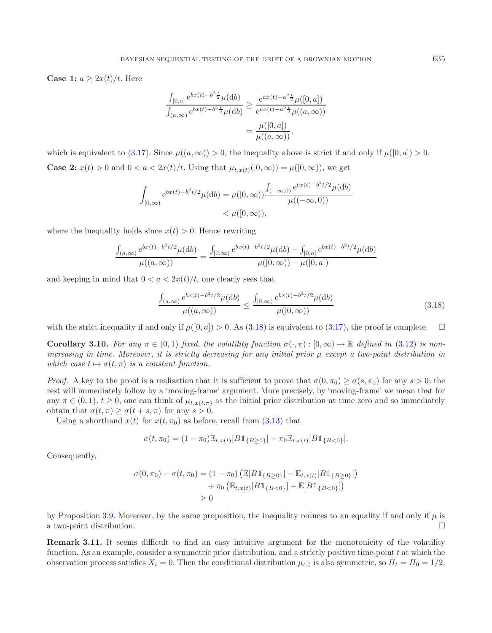**Case 1:**  $a \geq 2x(t)/t$ . Here

<span id="page-9-1"></span>
$$
\frac{\int_{[0,a]} e^{bx(t)-b^2 \frac{t}{2}} \mu(\mathrm{d}b)}{\int_{(a,\infty)} e^{bx(t)-b^2 \frac{t}{2}} \mu(\mathrm{d}b)} \ge \frac{e^{ax(t)-a^2 \frac{t}{2}} \mu([0,a])}{e^{ax(t)-a^2 \frac{t}{2}} \mu((a,\infty))} = \frac{\mu([0,a])}{\mu((a,\infty))},
$$

which is equivalent to [\(3.17\)](#page-8-1). Since  $\mu((a,\infty)) > 0$ , the inequality above is strict if and only if  $\mu([0,a]) > 0$ . **Case 2:**  $x(t) > 0$  and  $0 < a < 2x(t)/t$ . Using that  $\mu_{t,x(t)}([0,\infty)) = \mu([0,\infty))$ , we get

$$
\int_{[0,\infty)} e^{bx(t) - b^2 t/2} \mu(\mathrm{d}b) = \mu([0,\infty)) \frac{\int_{(-\infty,0)} e^{bx(t) - b^2 t/2} \mu(\mathrm{d}b)}{\mu((-\infty,0))}
$$
  
<  $\mu([0,\infty)),$ 

where the inequality holds since  $x(t) > 0$ . Hence rewriting

$$
\frac{\int_{(a,\infty)} e^{bx(t) - b^2 t/2} \mu(\mathrm{d}b)}{\mu((a,\infty))} = \frac{\int_{[0,\infty)} e^{bx(t) - b^2 t/2} \mu(\mathrm{d}b) - \int_{[0,a]} e^{bx(t) - b^2 t/2} \mu(\mathrm{d}b)}{\mu([0,\infty)) - \mu([0,a])}
$$

and keeping in mind that  $0 < a < 2x(t)/t$ , one clearly sees that

$$
\frac{\int_{(a,\infty)} e^{bx(t) - b^2 t/2} \mu(\mathrm{d}b)}{\mu((a,\infty))} \le \frac{\int_{[0,\infty)} e^{bx(t) - b^2 t/2} \mu(\mathrm{d}b)}{\mu([0,\infty))}
$$
\n(3.18)

<span id="page-9-0"></span>with the strict inequality if and only if  $\mu([0, a]) > 0$ . As [\(3.18\)](#page-9-1) is equivalent to [\(3.17\)](#page-8-1), the proof is complete.  $\Box$ 

**Corollary 3.10.** For any  $\pi \in (0,1)$  fixed, the volatility function  $\sigma(\cdot,\pi):[0,\infty) \to \mathbb{R}$  defined in [\(3.12\)](#page-7-0) is non*increasing in time. Moreover, it is strictly decreasing for any initial prior* μ *except a two-point distribution in* which case  $t \mapsto \sigma(t, \pi)$  *is a constant function.* 

*Proof.* A key to the proof is a realisation that it is sufficient to prove that  $\sigma(0, \pi_0) \geq \sigma(s, \pi_0)$  for any  $s > 0$ ; the rest will immediately follow by a 'moving-frame' argument. More precisely, by 'moving-frame' we mean that for any  $\pi \in (0,1), t \geq 0$ , one can think of  $\mu_{t,x(t,\pi)}$  as the initial prior distribution at time zero and so immediately obtain that  $\sigma(t,\pi) \geq \sigma(t+s,\pi)$  for any  $s > 0$ .

Using a shorthand  $x(t)$  for  $x(t, \pi_0)$  as before, recall from [\(3.13\)](#page-7-1) that

$$
\sigma(t,\pi_0)=(1-\pi_0)\mathbb{E}_{t,x(t)}[B\mathbbm{1}_{\{B\geq 0\}}]-\pi_0\mathbb{E}_{t,x(t)}[B\mathbbm{1}_{\{B<0\}}].
$$

Consequently,

$$
\sigma(0, \pi_0) - \sigma(t, \pi_0) = (1 - \pi_0) \left( \mathbb{E}[B1_{\{B \ge 0\}}] - \mathbb{E}_{t, x(t)}[B1_{\{B \ge 0\}}] \right) + \pi_0 \left( \mathbb{E}_{t, x(t)}[B1_{\{B < 0\}}] - \mathbb{E}[B1_{\{B < 0\}}] \right) \ge 0
$$

by Proposition [3.9.](#page-8-2) Moreover, by the same proposition, the inequality reduces to an equality if and only if  $\mu$  is a two-point distribution.  $\Box$ 

**Remark 3.11.** It seems difficult to find an easy intuitive argument for the monotonicity of the volatility function. As an example, consider a symmetric prior distribution, and a strictly positive time-point  $t$  at which the observation process satisfies  $X_t = 0$ . Then the conditional distribution  $\mu_{t,0}$  is also symmetric, so  $\Pi_t = \Pi_0 = 1/2$ .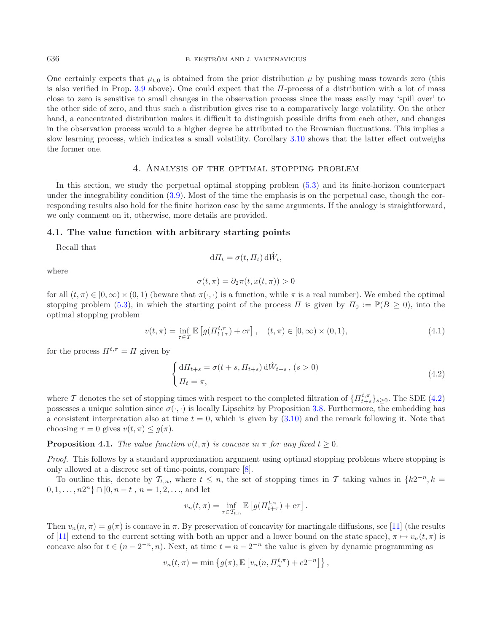One certainly expects that  $\mu_{t,0}$  is obtained from the prior distribution  $\mu$  by pushing mass towards zero (this is also verified in Prop. [3.9](#page-8-2) above). One could expect that the  $\Pi$ -process of a distribution with a lot of mass close to zero is sensitive to small changes in the observation process since the mass easily may 'spill over' to the other side of zero, and thus such a distribution gives rise to a comparatively large volatility. On the other hand, a concentrated distribution makes it difficult to distinguish possible drifts from each other, and changes in the observation process would to a higher degree be attributed to the Brownian fluctuations. This implies a slow learning process, which indicates a small volatility. Corollary [3.10](#page-9-0) shows that the latter effect outweighs the former one.

## <span id="page-10-1"></span>4. Analysis of the optimal stopping problem

<span id="page-10-3"></span><span id="page-10-0"></span>In this section, we study the perpetual optimal stopping problem [\(5.3\)](#page-16-1) and its finite-horizon counterpart under the integrability condition  $(3.9)$ . Most of the time the emphasis is on the perpetual case, though the corresponding results also hold for the finite horizon case by the same arguments. If the analogy is straightforward, we only comment on it, otherwise, more details are provided.

### **4.1. The value function with arbitrary starting points**

Recall that

$$
d\Pi_t = \sigma(t, \Pi_t) d\hat{W}_t,
$$

where

$$
\sigma(t,\pi) = \partial_2 \pi(t,x(t,\pi)) > 0
$$

for all  $(t, \pi) \in [0, \infty) \times (0, 1)$  (beware that  $\pi(\cdot, \cdot)$  is a function, while  $\pi$  is a real number). We embed the optimal stopping problem [\(5.3\)](#page-16-1), in which the starting point of the process  $\Pi$  is given by  $\Pi_0 := \mathbb{P}(B \ge 0)$ , into the optimal stopping problem

$$
v(t,\pi) = \inf_{\tau \in \mathcal{T}} \mathbb{E} \left[ g(\Pi_{t+\tau}^{t,\pi}) + c\tau \right], \quad (t,\pi) \in [0,\infty) \times (0,1), \tag{4.1}
$$

for the process  $\Pi^{t,\pi} = \Pi$  given by

$$
\begin{cases} d\Pi_{t+s} = \sigma(t+s, \Pi_{t+s}) d\hat{W}_{t+s}, (s>0) \\ \Pi_t = \pi, \end{cases}
$$
\n(4.2)

where T denotes the set of stopping times with respect to the completed filtration of  $\{\Pi_{t+s}^{t,\pi}\}_{s\geq 0}$ . The SDE [\(4.2\)](#page-10-1) possesses a unique solution since  $\sigma(\cdot, \cdot)$  is locally Lipschitz by Proposition [3.8.](#page-8-3) Furthermore, the embedding has a consistent interpretation also at time  $t = 0$ , which is given by  $(3.10)$  and the remark following it. Note that choosing  $\tau = 0$  gives  $v(t, \pi) \leq g(\pi)$ .

### <span id="page-10-2"></span>**Proposition 4.1.** *The value function*  $v(t, \pi)$  *is concave in*  $\pi$  *for any fixed*  $t \geq 0$ *.*

*Proof.* This follows by a standard approximation argument using optimal stopping problems where stopping is only allowed at a discrete set of time-points, compare [\[8](#page-22-13)].

To outline this, denote by  $\mathcal{T}_{t,n}$ , where  $t \leq n$ , the set of stopping times in T taking values in  $\{k2^{-n}, k =$  $0, 1, \ldots, n2^n$   $\cap$   $[0, n-t]$ ,  $n = 1, 2, \ldots$ , and let

$$
v_n(t,\pi) = \inf_{\tau \in \mathcal{T}_{t,n}} \mathbb{E}\left[g(\Pi_{t+\tau}^{t,\pi}) + c\tau\right].
$$

Then  $v_n(n,\pi) = g(\pi)$  is concave in  $\pi$ . By preservation of concavity for martingale diffusions, see [\[11](#page-22-14)] (the results of [\[11\]](#page-22-14) extend to the current setting with both an upper and a lower bound on the state space),  $\pi \mapsto v_n(t, \pi)$  is concave also for  $t \in (n - 2^{-n}, n)$ . Next, at time  $t = n - 2^{-n}$  the value is given by dynamic programming as

$$
v_n(t,\pi) = \min \left\{ g(\pi), \mathbb{E} \left[ v_n(n, \Pi_n^{t,\pi}) + c2^{-n} \right] \right\},\,
$$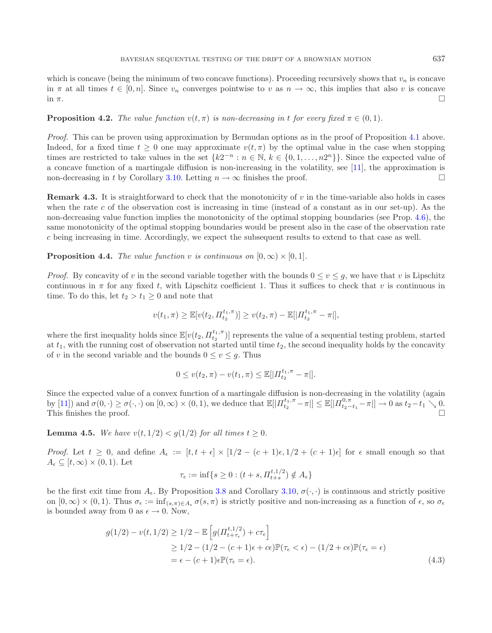which is concave (being the minimum of two concave functions). Proceeding recursively shows that  $v_n$  is concave in  $\pi$  at all times  $t \in [0, n]$ . Since  $v_n$  converges pointwise to  $v$  as  $n \to \infty$ , this implies that also v is concave in  $\pi$ .  $\Box$ 

#### <span id="page-11-2"></span>**Proposition 4.2.** *The value function*  $v(t, \pi)$  *is non-decreasing in t for every fixed*  $\pi \in (0, 1)$ *.*

*Proof.* This can be proven using approximation by Bermudan options as in the proof of Proposition [4.1](#page-10-2) above. Indeed, for a fixed time  $t \geq 0$  one may approximate  $v(t, \pi)$  by the optimal value in the case when stopping times are restricted to take values in the set  $\{k2^{-n} : n \in \mathbb{N}, k \in \{0, 1, \ldots, n2^n\}\}\.$  Since the expected value of a concave function of a martingale diffusion is non-increasing in the volatility, see [\[11](#page-22-14)], the approximation is non-decreasing in t by Corollary [3.10.](#page-9-0) Letting  $n \to \infty$  finishes the proof.

**Remark 4.3.** It is straightforward to check that the monotonicity of v in the time-variable also holds in cases when the rate c of the observation cost is increasing in time (instead of a constant as in our set-up). As the non-decreasing value function implies the monotonicity of the optimal stopping boundaries (see Prop. [4.6\)](#page-12-0), the same monotonicity of the optimal stopping boundaries would be present also in the case of the observation rate c being increasing in time. Accordingly, we expect the subsequent results to extend to that case as well.

<span id="page-11-3"></span>**Proposition 4.4.** *The value function* v *is continuous on*  $[0, \infty) \times [0, 1]$ *.* 

*Proof.* By concavity of v in the second variable together with the bounds  $0 \le v \le g$ , we have that v is Lipschitz continuous in  $\pi$  for any fixed t, with Lipschitz coefficient 1. Thus it suffices to check that v is continuous in time. To do this, let  $t_2 > t_1 \geq 0$  and note that

$$
v(t_1, \pi) \geq \mathbb{E}[v(t_2, \Pi_{t_2}^{t_1, \pi})] \geq v(t_2, \pi) - \mathbb{E}[|\Pi_{t_2}^{t_1, \pi} - \pi|],
$$

where the first inequality holds since  $\mathbb{E}[v(t_2, \Pi_{t_2}^{t_1,\pi})]$  represents the value of a sequential testing problem, started at  $t_1$ , with the running cost of observation not started until time  $t_2$ , the second inequality holds by the concavity of v in the second variable and the bounds  $0 \le v \le g$ . Thus

$$
0 \le v(t_2, \pi) - v(t_1, \pi) \le \mathbb{E}[|H_{t_2}^{t_1, \pi} - \pi|].
$$

Since the expected value of a convex function of a martingale diffusion is non-decreasing in the volatility (again by [\[11\]](#page-22-14)) and  $\sigma(0, \cdot) \geq \sigma(\cdot, \cdot)$  on  $[0, \infty) \times (0, 1)$ , we deduce that  $\mathbb{E}[|H_{t_2}^{t_1, \pi} - \pi|] \leq \mathbb{E}[|H_{t_2-t_1}^{0, \pi} - \pi|] \to 0$  as  $t_2-t_1 \searrow 0$ . This finishes the proof.  $\Box$ 

<span id="page-11-1"></span>**Lemma 4.5.** *We have*  $v(t, 1/2) < g(1/2)$  *for all times*  $t \ge 0$ *.* 

*Proof.* Let  $t \geq 0$ , and define  $A_{\epsilon} := [t, t + \epsilon] \times [1/2 - (c + 1)\epsilon, 1/2 + (c + 1)\epsilon]$  for  $\epsilon$  small enough so that  $A_{\epsilon} \subseteq [t, \infty) \times (0, 1)$ . Let

<span id="page-11-0"></span>
$$
\tau_{\epsilon}:=\inf\{s\geq 0: (t+s, \varPi^{t,1/2}_{t+s})\notin A_{\epsilon}\}
$$

be the first exit time from  $A_{\epsilon}$ . By Proposition [3.8](#page-8-3) and Corollary [3.10,](#page-9-0)  $\sigma(\cdot, \cdot)$  is continuous and strictly positive on  $[0,\infty)\times(0,1)$ . Thus  $\sigma_{\epsilon}:=\inf_{(s,\pi)\in A_{\epsilon}}\sigma(s,\pi)$  is strictly positive and non-increasing as a function of  $\epsilon$ , so  $\sigma_{\epsilon}$ is bounded away from 0 as  $\epsilon \to 0$ . Now,

$$
g(1/2) - v(t, 1/2) \ge 1/2 - \mathbb{E}\left[g(H_{t+\tau_{\epsilon}}^{t,1/2}) + c\tau_{\epsilon}\right]
$$
  
\n
$$
\ge 1/2 - (1/2 - (c+1)\epsilon + c\epsilon)\mathbb{P}(\tau_{\epsilon} < \epsilon) - (1/2 + c\epsilon)\mathbb{P}(\tau_{\epsilon} = \epsilon)
$$
  
\n
$$
= \epsilon - (c+1)\epsilon \mathbb{P}(\tau_{\epsilon} = \epsilon).
$$
\n(4.3)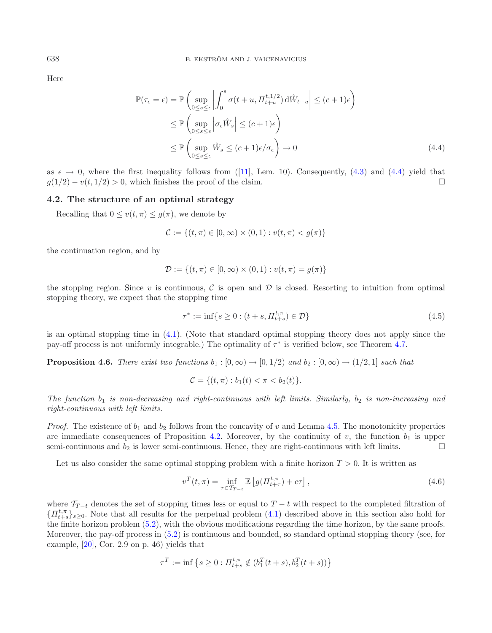Here

<span id="page-12-1"></span>
$$
\mathbb{P}(\tau_{\epsilon} = \epsilon) = \mathbb{P}\left(\sup_{0 \le s \le \epsilon} \left| \int_{0}^{s} \sigma(t + u, H_{t+u}^{t,1/2}) d\hat{W}_{t+u} \right| \le (c+1)\epsilon\right)
$$
  
\n
$$
\le \mathbb{P}\left(\sup_{0 \le s \le \epsilon} \left| \sigma_{\epsilon} \hat{W}_{s} \right| \le (c+1)\epsilon\right)
$$
  
\n
$$
\le \mathbb{P}\left(\sup_{0 \le s \le \epsilon} \hat{W}_{s} \le (c+1)\epsilon/\sigma_{\epsilon}\right) \to 0
$$
\n(4.4)

as  $\epsilon \to 0$ , where the first inequality follows from ([\[11\]](#page-22-14), Lem. 10). Consequently, [\(4.3\)](#page-11-0) and [\(4.4\)](#page-12-1) yield that  $g(1/2) - v(t, 1/2) > 0$ , which finishes the proof of the claim.

# **4.2. The structure of an optimal strategy**

Recalling that  $0 \le v(t, \pi) \le g(\pi)$ , we denote by

<span id="page-12-2"></span>
$$
\mathcal{C} := \{(t, \pi) \in [0, \infty) \times (0, 1) : v(t, \pi) < g(\pi)\}
$$

the continuation region, and by

$$
\mathcal{D} := \{(t, \pi) \in [0, \infty) \times (0, 1) : v(t, \pi) = g(\pi)\}
$$

the stopping region. Since v is continuous,  $\mathcal C$  is open and  $\mathcal D$  is closed. Resorting to intuition from optimal stopping theory, we expect that the stopping time

$$
\tau^* := \inf \{ s \ge 0 : (t + s, \Pi_{t+s}^{t,\pi}) \in \mathcal{D} \}
$$
\n(4.5)

<span id="page-12-0"></span>is an optimal stopping time in [\(4.1\)](#page-10-3). (Note that standard optimal stopping theory does not apply since the pay-off process is not uniformly integrable.) The optimality of  $\tau^*$  is verified below, see Theorem [4.7.](#page-13-0)

**Proposition 4.6.** *There exist two functions*  $b_1 : [0, \infty) \to [0, 1/2]$  *and*  $b_2 : [0, \infty) \to (1/2, 1]$  *such that* 

$$
\mathcal{C} = \{ (t, \pi) : b_1(t) < \pi < b_2(t) \}.
$$

*The function*  $b_1$  *is non-decreasing and right-continuous with left limits. Similarly,*  $b_2$  *is non-increasing and right-continuous with left limits.*

*Proof.* The existence of  $b_1$  and  $b_2$  follows from the concavity of v and Lemma [4.5.](#page-11-1) The monotonicity properties are immediate consequences of Proposition [4.2.](#page-11-2) Moreover, by the continuity of v, the function  $b_1$  is upper semi-continuous and  $b_2$  is lower semi-continuous. Hence, they are right-continuous with left limits.  $\Box$ 

Let us also consider the same optimal stopping problem with a finite horizon  $T > 0$ . It is written as

$$
v^{T}(t,\pi) = \inf_{\tau \in \mathcal{T}_{T-t}} \mathbb{E}\left[g(\Pi_{t+\tau}^{t,\pi}) + c\tau\right],
$$
\n(4.6)

where  $\mathcal{T}_{T-t}$  denotes the set of stopping times less or equal to  $T-t$  with respect to the completed filtration of  $\{\Pi_{t+s}^{t,\pi}\}_{s\geq0}$ . Note that all results for the perpetual problem [\(4.1\)](#page-10-3) described above in this section also hold for the finite horizon problem [\(5.2\)](#page-16-2), with the obvious modifications regarding the time horizon, by the same proofs. Moreover, the pay-off process in [\(5.2\)](#page-16-2) is continuous and bounded, so standard optimal stopping theory (see, for example, [\[20](#page-22-15)], Cor. 2.9 on p. 46) yields that

$$
\tau^T := \inf \left\{ s \ge 0 : H_{t+s}^{t,\pi} \notin (b_1^T(t+s), b_2^T(t+s)) \right\}
$$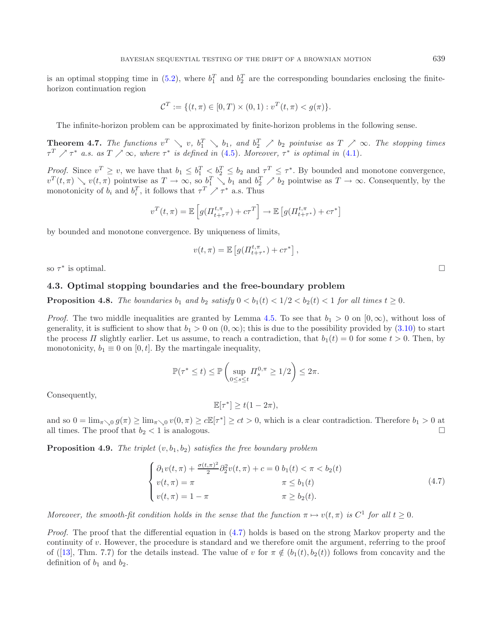is an optimal stopping time in [\(5.2\)](#page-16-2), where  $b_1^T$  and  $b_2^T$  are the corresponding boundaries enclosing the finitehorizon continuation region

$$
\mathcal{C}^T := \{ (t, \pi) \in [0, T) \times (0, 1) : v^T(t, \pi) < g(\pi) \}.
$$

The infinite-horizon problem can be approximated by finite-horizon problems in the following sense.

<span id="page-13-0"></span>**Theorem 4.7.** The functions  $v^T \searrow v$ ,  $b_1^T \searrow b_1$ , and  $b_2^T \nearrow b_2$  pointwise as  $T \nearrow \infty$ . The stopping times  $\tau^T$   $\nearrow \tau^*$  *a.s. as*  $T \nearrow \infty$ *, where*  $\tau^*$  *is defined in* [\(4.5\)](#page-12-2)*. Moreover,*  $\tau^*$  *is optimal in* [\(4.1\)](#page-10-3)*.* 

*Proof.* Since  $v^T \geq v$ , we have that  $b_1 \leq b_1^T \leq b_2^T \leq b_2$  and  $\tau^T \leq \tau^*$ . By bounded and monotone convergence,  $v^T(t,\pi) \searrow v(t,\pi)$  pointwise as  $T \to \infty$ , so  $b_1^T \searrow b_1$  and  $b_2^T \nearrow b_2$  pointwise as  $T \to \infty$ . Consequently, by the monotonicity of  $b_i$  and  $b_i^T$ , it follows that  $\tau^T \nearrow \tau^*$  a.s. Thus

$$
v^{T}(t,\pi) = \mathbb{E}\left[g(\Pi_{t+\tau}^{t,\pi}) + c\tau^{T}\right] \to \mathbb{E}\left[g(\Pi_{t+\tau^{*}}^{t,\pi}) + c\tau^{*}\right]
$$

by bounded and monotone convergence. By uniqueness of limits,

$$
v(t,\pi) = \mathbb{E}\left[g(\Pi_{t+\tau^*}^{t,\pi}) + c\tau^*\right],
$$

so  $\tau^*$  is optimal.

### **4.3. Optimal stopping boundaries and the free-boundary problem**

**Proposition 4.8.** *The boundaries*  $b_1$  *and*  $b_2$  *satisfy*  $0 < b_1(t) < 1/2 < b_2(t) < 1$  *for all times*  $t \geq 0$ *.* 

*Proof.* The two middle inequalities are granted by Lemma [4.5.](#page-11-1) To see that  $b_1 > 0$  on  $[0, \infty)$ , without loss of generality, it is sufficient to show that  $b_1 > 0$  on  $(0, \infty)$ ; this is due to the possibility provided by [\(3.10\)](#page-6-2) to start the process  $\Pi$  slightly earlier. Let us assume, to reach a contradiction, that  $b_1(t) = 0$  for some  $t > 0$ . Then, by monotonicity,  $b_1 \equiv 0$  on [0, t]. By the martingale inequality,

$$
\mathbb{P}(\tau^* \le t) \le \mathbb{P}\left(\sup_{0\le s\le t} \Pi_s^{0,\pi} \ge 1/2\right) \le 2\pi.
$$

Consequently,

<span id="page-13-1"></span>
$$
\mathbb{E}[\tau^*] \ge t(1 - 2\pi),
$$

and so  $0 = \lim_{\pi \searrow 0} g(\pi) \ge \lim_{\pi \searrow 0} v(0, \pi) \ge c \mathbb{E}[\tau^*] \ge ct > 0$ , which is a clear contradiction. Therefore  $b_1 > 0$  at all times. The proof that  $b_2 < 1$  is analogous.

<span id="page-13-2"></span>**Proposition 4.9.** *The triplet*  $(v, b_1, b_2)$  *satisfies the free boundary problem* 

$$
\begin{cases}\n\partial_1 v(t,\pi) + \frac{\sigma(t,\pi)^2}{2} \partial_2^2 v(t,\pi) + c = 0 \ b_1(t) < \pi < b_2(t) \\
v(t,\pi) = \pi & \pi \le b_1(t) \\
v(t,\pi) = 1 - \pi & \pi \ge b_2(t).\n\end{cases} \tag{4.7}
$$

*Moreover, the smooth-fit condition holds in the sense that the function*  $\pi \mapsto v(t,\pi)$  *is*  $C^1$  *for all*  $t \geq 0$ *.* 

*Proof.* The proof that the differential equation in [\(4.7\)](#page-13-1) holds is based on the strong Markov property and the continuity of v. However, the procedure is standard and we therefore omit the argument, referring to the proof of ([\[13](#page-22-16)], Thm. 7.7) for the details instead. The value of v for  $\pi \notin (b_1(t), b_2(t))$  follows from concavity and the definition of  $b_1$  and  $b_2$ .

 $\Box$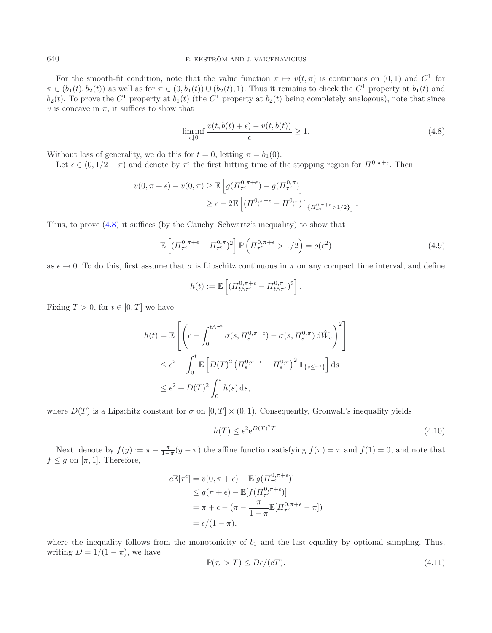<span id="page-14-0"></span>For the smooth-fit condition, note that the value function  $\pi \mapsto v(t,\pi)$  is continuous on  $(0,1)$  and  $C^1$  for  $\pi \in (b_1(t), b_2(t))$  as well as for  $\pi \in (0, b_1(t)) \cup (b_2(t), 1)$ . Thus it remains to check the  $C^1$  property at  $b_1(t)$  and  $b_2(t)$ . To prove the  $C^1$  property at  $b_1(t)$  (the  $C^1$  property at  $b_2(t)$  being completely analogous), note that since v is concave in  $\pi$ , it suffices to show that

<span id="page-14-2"></span>
$$
\liminf_{\epsilon \downarrow 0} \frac{v(t, b(t) + \epsilon) - v(t, b(t))}{\epsilon} \ge 1.
$$
\n(4.8)

Without loss of generality, we do this for  $t = 0$ , letting  $\pi = b_1(0)$ .

Let  $\epsilon \in (0, 1/2 - \pi)$  and denote by  $\tau^{\epsilon}$  the first hitting time of the stopping region for  $\Pi^{0, \pi + \epsilon}$ . Then

$$
v(0, \pi + \epsilon) - v(0, \pi) \geq \mathbb{E}\left[g\left(\Pi_{\tau^{\epsilon}}^{0, \pi + \epsilon}\right) - g\left(\Pi_{\tau^{\epsilon}}^{0, \pi}\right)\right]
$$
  

$$
\geq \epsilon - 2\mathbb{E}\left[\left(\Pi_{\tau^{\epsilon}}^{0, \pi + \epsilon} - \Pi_{\tau^{\epsilon}}^{0, \pi}\right)1\!\!1_{\{\Pi_{\tau^{\epsilon}}^{0, \pi + \epsilon} > 1/2\}}\right].
$$

Thus, to prove [\(4.8\)](#page-14-0) it suffices (by the Cauchy–Schwartz's inequality) to show that

$$
\mathbb{E}\left[ (H_{\tau\epsilon}^{0,\pi+\epsilon} - H_{\tau\epsilon}^{0,\pi})^2 \right] \mathbb{P}\left( H_{\tau\epsilon}^{0,\pi+\epsilon} > 1/2 \right) = o(\epsilon^2)
$$
\n(4.9)

as  $\epsilon \to 0$ . To do this, first assume that  $\sigma$  is Lipschitz continuous in  $\pi$  on any compact time interval, and define

<span id="page-14-1"></span>
$$
h(t) := \mathbb{E}\left[ (H_{t \wedge \tau^{\epsilon}}^{0,\pi+\epsilon} - H_{t \wedge \tau^{\epsilon}}^{0,\pi})^2 \right].
$$

Fixing  $T > 0$ , for  $t \in [0, T]$  we have

$$
h(t) = \mathbb{E}\left[\left(\epsilon + \int_0^{t \wedge \tau^{\epsilon}} \sigma(s, \Pi_s^{0, \pi + \epsilon}) - \sigma(s, \Pi_s^{0, \pi}) d\hat{W}_s\right)^2\right]
$$
  

$$
\leq \epsilon^2 + \int_0^t \mathbb{E}\left[D(T)^2 \left(\Pi_s^{0, \pi + \epsilon} - \Pi_s^{0, \pi}\right)^2 \mathbb{1}_{\{s \leq \tau^{\epsilon}\}}\right] ds
$$
  

$$
\leq \epsilon^2 + D(T)^2 \int_0^t h(s) ds,
$$

where  $D(T)$  is a Lipschitz constant for  $\sigma$  on  $[0, T] \times (0, 1)$ . Consequently, Gronwall's inequality yields

$$
h(T) \le \epsilon^2 e^{D(T)^2 T}.\tag{4.10}
$$

Next, denote by  $f(y) := \pi - \frac{\pi}{1-\pi}(y-\pi)$  the affine function satisfying  $f(\pi) = \pi$  and  $f(1) = 0$ , and note that  $f \leq g$  on  $[\pi, 1]$ . Therefore,

$$
c\mathbb{E}[\tau^{\epsilon}] = v(0, \pi + \epsilon) - \mathbb{E}[g(\Pi_{\tau^{\epsilon}}^{0, \pi + \epsilon})]
$$
  
\n
$$
\leq g(\pi + \epsilon) - \mathbb{E}[f(\Pi_{\tau^{\epsilon}}^{0, \pi + \epsilon})]
$$
  
\n
$$
= \pi + \epsilon - (\pi - \frac{\pi}{1 - \pi} \mathbb{E}[\Pi_{\tau^{\epsilon}}^{0, \pi + \epsilon} - \pi])
$$
  
\n
$$
= \epsilon/(1 - \pi),
$$

where the inequality follows from the monotonicity of  $b_1$  and the last equality by optional sampling. Thus, writing  $D = 1/(1 - \pi)$ , we have

$$
\mathbb{P}(\tau_{\epsilon} > T) \le D\epsilon/(cT). \tag{4.11}
$$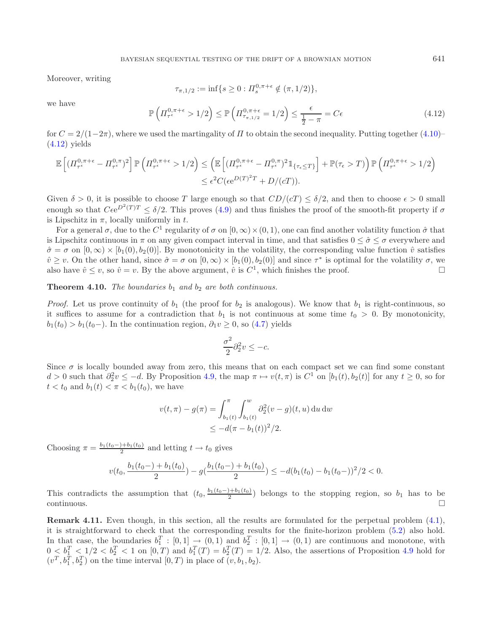<span id="page-15-0"></span>Moreover, writing

$$
\tau_{\pi,1/2} := \inf \{ s \ge 0 : \Pi_s^{0,\pi+\epsilon} \notin (\pi,1/2) \},
$$

we have

$$
\mathbb{P}\left(\Pi_{\tau^{\epsilon}}^{0,\pi+\epsilon} > 1/2\right) \le \mathbb{P}\left(\Pi_{\tau_{\pi,1/2}}^{0,\pi+\epsilon} = 1/2\right) \le \frac{\epsilon}{\frac{1}{2} - \pi} = C\epsilon
$$
\n(4.12)

for  $C = 2/(1-2\pi)$ , where we used the martingality of  $\Pi$  to obtain the second inequality. Putting together [\(4.10\)](#page-14-1)–  $(4.12)$  yields

$$
\mathbb{E}\left[ (I_{\tau^{\epsilon}}^{0,\pi+\epsilon} - I_{\tau^{\epsilon}}^{0,\pi})^{2} \right] \mathbb{P}\left( I_{\tau^{\epsilon}}^{0,\pi+\epsilon} > 1/2 \right) \leq \left( \mathbb{E}\left[ (I_{\tau^{\epsilon}}^{0,\pi+\epsilon} - I_{\tau^{\epsilon}}^{0,\pi})^{2} \mathbb{1}_{\{\tau_{\epsilon} \leq T\}} \right] + \mathbb{P}(\tau_{\epsilon} > T) \right) \mathbb{P}\left( I_{\tau^{\epsilon}}^{0,\pi+\epsilon} > 1/2 \right) \leq \epsilon^{2} C(\epsilon e^{D(T)^{2}T} + D/(cT)).
$$

Given  $\delta > 0$ , it is possible to choose T large enough so that  $CD/(cT) \leq \delta/2$ , and then to choose  $\epsilon > 0$  small enough so that  $C\epsilon e^{D^2(T)T} \leq \delta/2$ . This proves [\(4.9\)](#page-14-2) and thus finishes the proof of the smooth-fit property if  $\sigma$ is Lipschitz in  $\pi$ , locally uniformly in t.

For a general  $\sigma$ , due to the  $C^1$  regularity of  $\sigma$  on  $[0,\infty)\times(0,1)$ , one can find another volatility function  $\hat{\sigma}$  that is Lipschitz continuous in  $\pi$  on any given compact interval in time, and that satisfies  $0 \leq \hat{\sigma} \leq \sigma$  everywhere and  $\hat{\sigma} = \sigma$  on  $[0, \infty) \times [b_1(0), b_2(0)]$ . By monotonicity in the volatility, the corresponding value function  $\hat{v}$  satisfies  $\hat{v} \geq v$ . On the other hand, since  $\hat{\sigma} = \sigma$  on  $[0, \infty) \times [b_1(0), b_2(0)]$  and since  $\tau^*$  is optimal for the volatility  $\sigma$ , we also have  $\hat{v} \leq v$ , so  $\hat{v} = v$ . By the above argument,  $\hat{v}$  is  $C^1$ , which finishes the proof.  $\Box$ 

# **Theorem 4.10.** *The boundaries*  $b_1$  *and*  $b_2$  *are both continuous.*

*Proof.* Let us prove continuity of  $b_1$  (the proof for  $b_2$  is analogous). We know that  $b_1$  is right-continuous, so it suffices to assume for a contradiction that  $b_1$  is not continuous at some time  $t_0 > 0$ . By monotonicity,  $b_1(t_0) > b_1(t_0-)$ . In the continuation region,  $\partial_1 v \geq 0$ , so  $(4.7)$  yields

$$
\frac{\sigma^2}{2}\partial_2^2 v \le -c.
$$

Since  $\sigma$  is locally bounded away from zero, this means that on each compact set we can find some constant  $d > 0$  such that  $\partial_2^2 v \le -d$ . By Proposition [4.9,](#page-13-2) the map  $\pi \mapsto v(t,\pi)$  is  $C^1$  on  $[b_1(t), b_2(t)]$  for any  $t \ge 0$ , so for  $t < t_0$  and  $b_1(t) < \pi < b_1(t_0)$ , we have

$$
v(t,\pi) - g(\pi) = \int_{b_1(t)}^{\pi} \int_{b_1(t)}^{w} \partial_2^2(v - g)(t, u) \, du \, dw
$$
  
 
$$
\leq -d(\pi - b_1(t))^2/2.
$$

Choosing  $\pi = \frac{b_1(t_0 -) + b_1(t_0)}{2}$  and letting  $t \to t_0$  gives

$$
v(t_0, \frac{b_1(t_0-)+b_1(t_0)}{2})-g(\frac{b_1(t_0-)+b_1(t_0)}{2})\leq -d(b_1(t_0)-b_1(t_0-))^2/2<0.
$$

This contradicts the assumption that  $(t_0, \frac{b_1(t_0-)+b_1(t_0)}{2})$  belongs to the stopping region, so  $b_1$  has to be  $\Box$ continuous.  $\Box$ 

**Remark 4.11.** Even though, in this section, all the results are formulated for the perpetual problem  $(4.1)$ , it is straightforward to check that the corresponding results for the finite-horizon problem [\(5.2\)](#page-16-2) also hold. In that case, the boundaries  $b_1^T$ :  $[0,1] \rightarrow (0,1)$  and  $b_2^T$ :  $[0,1] \rightarrow (0,1)$  are continuous and monotone, with  $0 \leq b_1^T \leq 1/2 < b_2^T < 1$  on  $[0,T)$  and  $b_1^T(T) = b_2^T(T) = 1/2$ . Also, the assertions of Proposition [4.9](#page-13-2) hold for  $(v^T, b_1^T, b_2^T)$  on the time interval  $[0, T)$  in place of  $(v, b_1, b_2)$ .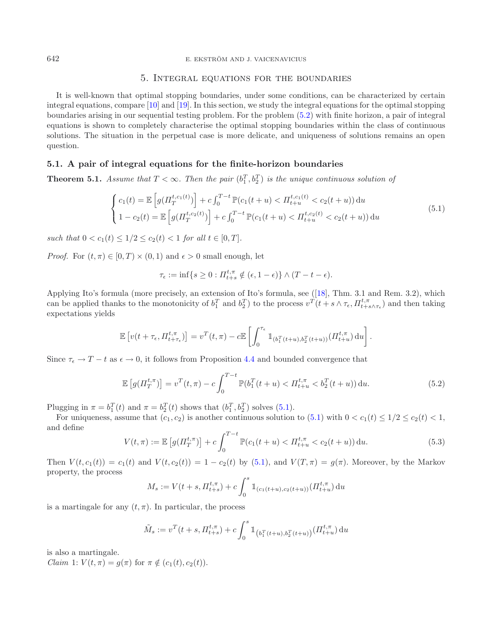#### <span id="page-16-0"></span>642 E. EKSTRÖM AND J. VAICENAVICIUS

## <span id="page-16-3"></span>5. Integral equations for the boundaries

It is well-known that optimal stopping boundaries, under some conditions, can be characterized by certain integral equations, compare [\[10](#page-22-17)] and [\[19\]](#page-22-18). In this section, we study the integral equations for the optimal stopping boundaries arising in our sequential testing problem. For the problem [\(5.2\)](#page-16-2) with finite horizon, a pair of integral equations is shown to completely characterise the optimal stopping boundaries within the class of continuous solutions. The situation in the perpetual case is more delicate, and uniqueness of solutions remains an open question.

### <span id="page-16-4"></span>**5.1. A pair of integral equations for the finite-horizon boundaries**

**Theorem 5.1.** *Assume that*  $T < \infty$ *. Then the pair*  $(b_1^T, b_2^T)$  *is the unique continuous solution of* 

$$
\begin{cases}\nc_1(t) = \mathbb{E}\left[g(H_T^{t,c_1(t)})\right] + c \int_0^{T-t} \mathbb{P}(c_1(t+u) < H_{t+u}^{t,c_1(t)} < c_2(t+u)) \, \mathrm{d}u \\
1 - c_2(t) = \mathbb{E}\left[g(H_T^{t,c_2(t)})\right] + c \int_0^{T-t} \mathbb{P}(c_1(t+u) < H_{t+u}^{t,c_2(t)} < c_2(t+u)) \, \mathrm{d}u\n\end{cases} \tag{5.1}
$$

*such that*  $0 < c_1(t) < 1/2 < c_2(t) < 1$  *for all*  $t \in [0, T]$ *.* 

*Proof.* For  $(t, \pi) \in [0, T) \times (0, 1)$  and  $\epsilon > 0$  small enough, let

<span id="page-16-2"></span>
$$
\tau_{\epsilon} := \inf \{ s \ge 0 : H_{t+s}^{t,\pi} \notin (\epsilon, 1 - \epsilon) \} \wedge (T - t - \epsilon).
$$

<span id="page-16-1"></span>Applying Ito's formula (more precisely, an extension of Ito's formula, see ([\[18\]](#page-22-19), Thm. 3.1 and Rem. 3.2), which can be applied thanks to the monotonicity of  $b_1^T$  and  $b_2^T$ ) to the process  $v^T(t + s \wedge \tau_{\epsilon}, \Pi_{t+s \wedge \tau_{\epsilon}}^{t,\pi})$  and then taking expectations yields

$$
\mathbb{E}\left[v(t+\tau_{\epsilon},\Pi_{t+\tau_{\epsilon}}^{t,\pi})\right] = v^{T}(t,\pi) - c\mathbb{E}\left[\int_{0}^{\tau_{\epsilon}}1_{(b_{1}^{T}(t+u),b_{2}^{T}(t+u))}(\Pi_{t+u}^{t,\pi}) du\right].
$$

Since  $\tau_{\epsilon} \to T - t$  as  $\epsilon \to 0$ , it follows from Proposition [4.4](#page-11-3) and bounded convergence that

$$
\mathbb{E}\left[g(\Pi_T^{t,\pi})\right] = v^T(t,\pi) - c \int_0^{T-t} \mathbb{P}(b_1^T(t+u) < \Pi_{t+u}^{t,\pi} < b_2^T(t+u)) \, \mathrm{d}u. \tag{5.2}
$$

Plugging in  $\pi = b_1^T(t)$  and  $\pi = b_2^T(t)$  shows that  $(b_1^T, b_2^T)$  solves [\(5.1\)](#page-16-3).

For uniqueness, assume that  $(c_1, c_2)$  is another continuous solution to  $(5.1)$  with  $0 < c_1(t) \leq 1/2 \leq c_2(t) < 1$ , and define

$$
V(t,\pi) := \mathbb{E}\left[g(\Pi_T^{t,\pi})\right] + c \int_0^{T-t} \mathbb{P}(c_1(t+u) < \Pi_{t+u}^{t,\pi} < c_2(t+u)) \, \mathrm{d}u. \tag{5.3}
$$

Then  $V(t, c_1(t)) = c_1(t)$  and  $V(t, c_2(t)) = 1 - c_2(t)$  by [\(5.1\)](#page-16-3), and  $V(T, \pi) = g(\pi)$ . Moreover, by the Markov property, the process  $\overline{\phantom{a}}$ 

$$
M_s := V(t+s, \Pi_{t+s}^{t,\pi}) + c \int_0^s \mathbbm{1}_{(c_1(t+u), c_2(t+u))} (\Pi_{t+u}^{t,\pi}) \, du
$$

is a martingale for any  $(t, \pi)$ . In particular, the process

$$
\tilde{M}_s := v^T(t+s, \Pi_{t+s}^{t,\pi}) + c \int_0^s \mathbbm{1}_{\left(b_1^T(t+u), b_2^T(t+u)\right)} \left(\Pi_{t+u}^{t,\pi}\right) \mathrm{d}u
$$

is also a martingale.

*Claim* 1:  $V(t, \pi) = g(\pi)$  for  $\pi \notin (c_1(t), c_2(t)).$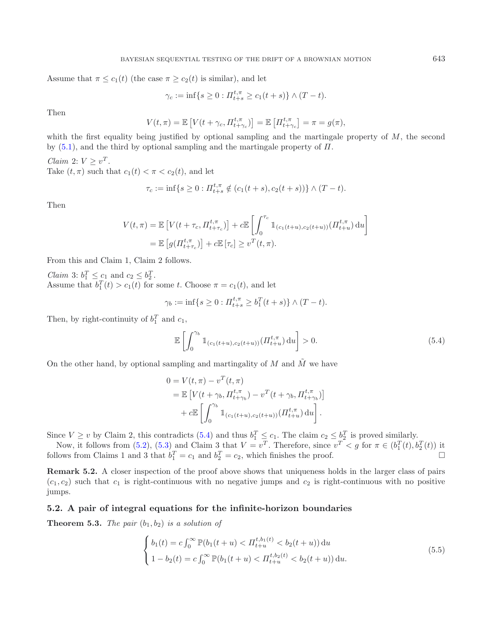Assume that  $\pi \leq c_1(t)$  (the case  $\pi \geq c_2(t)$  is similar), and let

$$
\gamma_c := \inf\{s \ge 0 : \Pi_{t+s}^{t,\pi} \ge c_1(t+s)\} \wedge (T-t).
$$

Then

$$
V(t,\pi) = \mathbb{E}\left[V(t+\gamma_c, \Pi_{t+\gamma_c}^{t,\pi})\right] = \mathbb{E}\left[\Pi_{t+\gamma_c}^{t,\pi}\right] = \pi = g(\pi),
$$

whith the first equality being justified by optional sampling and the martingale property of  $M$ , the second by  $(5.1)$ , and the third by optional sampling and the martingale property of  $\Pi$ .

*Claim* 2:  $V \geq v^T$ . Take  $(t, \pi)$  such that  $c_1(t) < \pi < c_2(t)$ , and let

<span id="page-17-0"></span>
$$
\tau_c := \inf\{s \ge 0 : \Pi_{t+s}^{t,\pi} \notin (c_1(t+s), c_2(t+s))\} \wedge (T-t).
$$

Then

$$
V(t,\pi) = \mathbb{E}\left[V(t+\tau_c, \Pi_{t+\tau_c}^{t,\pi})\right] + c\mathbb{E}\left[\int_0^{\tau_c} \mathbb{1}_{(c_1(t+u), c_2(t+u))}(\Pi_{t+u}^{t,\pi}) du\right]
$$

$$
= \mathbb{E}\left[g(\Pi_{t+\tau_c}^{t,\pi})\right] + c\mathbb{E}\left[\tau_c\right] \ge v^T(t,\pi).
$$

From this and Claim 1, Claim 2 follows.

*Claim* 3:  $b_1^T \leq c_1$  and  $c_2 \leq b_2^T$ . Assume that  $b_1^T(t) > c_1(t)$  for some t. Choose  $\pi = c_1(t)$ , and let

$$
\gamma_b := \inf \{ s \ge 0 : \Pi_{t+s}^{t,\pi} \ge b_1^T(t+s) \} \wedge (T-t).
$$

Then, by right-continuity of  $b_1^T$  and  $c_1$ ,

$$
\mathbb{E}\left[\int_0^{\gamma_b} \mathbb{1}_{(c_1(t+u), c_2(t+u))} (H_{t+u}^{t,\pi}) du\right] > 0.
$$
\n(5.4)

On the other hand, by optional sampling and martingality of M and  $\tilde{M}$  we have

<span id="page-17-1"></span>
$$
0 = V(t, \pi) - v^{T}(t, \pi)
$$
  
=  $\mathbb{E}\left[V(t + \gamma_{b}, H_{t + \gamma_{b}}^{t, \pi}) - v^{T}(t + \gamma_{b}, H_{t + \gamma_{b}}^{t, \pi})\right]$   
+  $c \mathbb{E}\left[\int_{0}^{\gamma_{b}} 1_{(c_{1}(t + u), c_{2}(t + u))} (H_{t + u}^{t, \pi}) du\right].$ 

Since  $V \geq v$  by Claim 2, this contradicts [\(5.4\)](#page-17-0) and thus  $b_1^T \leq c_1$ . The claim  $c_2 \leq b_2^T$  is proved similarly.

Now, it follows from [\(5.2\)](#page-16-2), [\(5.3\)](#page-16-1) and Claim 3 that  $V = v^T$ . Therefore, since  $v^T < g$  for  $\pi \in (b_1^T(t), b_2^T(t))$  it follows from Claims 1 and 3 that  $b_1^T = c_1$  and  $b_2^T = c_2$ , which finishes the proof.

**Remark 5.2.** A closer inspection of the proof above shows that uniqueness holds in the larger class of pairs  $(c_1, c_2)$  such that  $c_1$  is right-continuous with no negative jumps and  $c_2$  is right-continuous with no positive jumps.

#### **5.2. A pair of integral equations for the infinite-horizon boundaries**

**Theorem 5.3.** *The pair*  $(b_1, b_2)$  *is a solution of* 

$$
\begin{cases}\nb_1(t) = c \int_0^\infty \mathbb{P}(b_1(t+u) < H_{t+u}^{t,b_1(t)} < b_2(t+u)) \, \mathrm{d}u \\
1 - b_2(t) = c \int_0^\infty \mathbb{P}(b_1(t+u) < H_{t+u}^{t,b_2(t)} < b_2(t+u)) \, \mathrm{d}u.\n\end{cases} \tag{5.5}
$$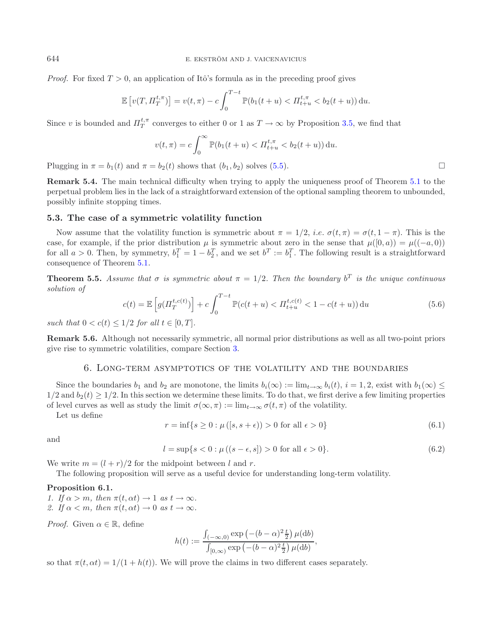*Proof.* For fixed  $T > 0$ , an application of Itô's formula as in the preceding proof gives

$$
\mathbb{E}\left[v(T, \Pi_T^{t,\pi})\right] = v(t,\pi) - c \int_0^{T-t} \mathbb{P}(b_1(t+u) < \Pi_{t+u}^{t,\pi} < b_2(t+u)) \, \mathrm{d}u.
$$

Since v is bounded and  $\Pi_T^{t,\pi}$  converges to either 0 or 1 as  $T \to \infty$  by Proposition [3.5,](#page-5-1) we find that

$$
v(t,\pi) = c \int_0^{\infty} \mathbb{P}(b_1(t+u) < \Pi_{t+u}^{t,\pi} < b_2(t+u)) \, \mathrm{d}u.
$$

<span id="page-18-2"></span>Plugging in  $\pi = b_1(t)$  and  $\pi = b_2(t)$  shows that  $(b_1, b_2)$  solves [\(5.5\)](#page-17-1).

**Remark 5.4.** The main technical difficulty when trying to apply the uniqueness proof of Theorem [5.1](#page-16-4) to the perpetual problem lies in the lack of a straightforward extension of the optional sampling theorem to unbounded, possibly infinite stopping times.

#### **5.3. The case of a symmetric volatility function**

Now assume that the volatility function is symmetric about  $\pi = 1/2$ , *i.e.*  $\sigma(t, \pi) = \sigma(t, 1 - \pi)$ . This is the case, for example, if the prior distribution  $\mu$  is symmetric about zero in the sense that  $\mu([0, a)) = \mu((-a, 0))$ for all  $a > 0$ . Then, by symmetry,  $b_1^T = 1 - b_2^T$ , and we set  $b^T := b_1^T$ . The following result is a straightforward consequence of Theorem [5.1.](#page-16-4)

**Theorem 5.5.** *Assume that*  $\sigma$  *is symmetric about*  $\pi = 1/2$ *. Then the boundary*  $b^T$  *is the unique continuous solution of*

$$
c(t) = \mathbb{E}\left[g(\Pi_T^{t,c(t)})\right] + c \int_0^{T-t} \mathbb{P}(c(t+u) < \Pi_{t+u}^{t,c(t)} < 1 - c(t+u)) \, \mathrm{d}u \tag{5.6}
$$

*such that*  $0 < c(t) < 1/2$  *for all*  $t \in [0, T]$ *.* 

<span id="page-18-0"></span>**Remark 5.6.** Although not necessarily symmetric, all normal prior distributions as well as all two-point priors give rise to symmetric volatilities, compare Section [3.](#page-3-0)

#### 6. Long-term asymptotics of the volatility and the boundaries

Since the boundaries  $b_1$  and  $b_2$  are monotone, the limits  $b_i(\infty) := \lim_{t\to\infty} b_i(t)$ ,  $i = 1, 2$ , exist with  $b_1(\infty) \le$  $1/2$  and  $b_2(t) \geq 1/2$ . In this section we determine these limits. To do that, we first derive a few limiting properties of level curves as well as study the limit  $\sigma(\infty, \pi) := \lim_{t\to\infty} \sigma(t, \pi)$  of the volatility.

Let us define

<span id="page-18-1"></span>
$$
r = \inf\{s \ge 0 : \mu([s, s + \epsilon)) > 0 \text{ for all } \epsilon > 0\}
$$
\n
$$
(6.1)
$$

and

$$
l = \sup\{s < 0 : \mu\left((s - \epsilon, s)\right) > 0 \text{ for all } \epsilon > 0\}.\tag{6.2}
$$

We write  $m = (l + r)/2$  for the midpoint between l and r.

The following proposition will serve as a useful device for understanding long-term volatility.

### **Proposition 6.1.**

*1.* If  $\alpha > m$ , then  $\pi(t, \alpha t) \rightarrow 1$  as  $t \rightarrow \infty$ .

2. If  $\alpha < m$ , then  $\pi(t, \alpha t) \to 0$  *as*  $t \to \infty$ .

*Proof.* Given  $\alpha \in \mathbb{R}$ , define

$$
h(t) := \frac{\int_{(-\infty,0)} \exp\left(-(b-\alpha)^2 \frac{t}{2}\right) \mu(\mathrm{d}b)}{\int_{[0,\infty)} \exp\left(-(b-\alpha)^2 \frac{t}{2}\right) \mu(\mathrm{d}b)},
$$

so that  $\pi(t, \alpha t) = 1/(1 + h(t))$ . We will prove the claims in two different cases separately.

 $\Box$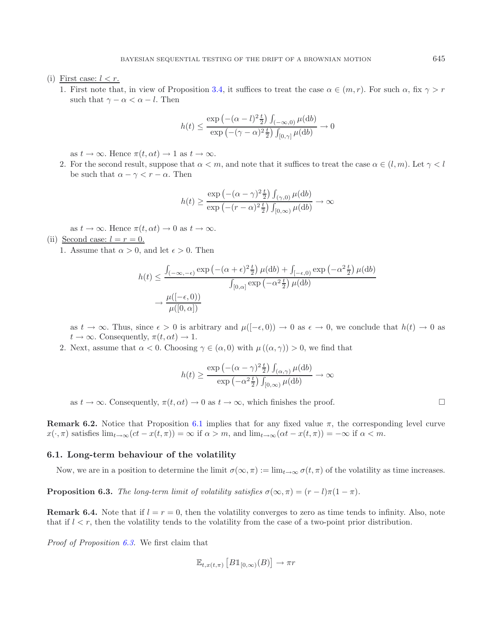(i) First case:  $l < r$ .

1. First note that, in view of Proposition [3.4,](#page-5-0) it suffices to treat the case  $\alpha \in (m, r)$ . For such  $\alpha$ , fix  $\gamma > r$ such that  $\gamma - \alpha < \alpha - l$ . Then

$$
h(t) \le \frac{\exp\left(-(\alpha - l)^2 \frac{t}{2}\right) \int_{(-\infty,0)} \mu(\mathrm{d}b)}{\exp\left(-(\gamma - \alpha)^2 \frac{t}{2}\right) \int_{[0,\gamma]} \mu(\mathrm{d}b)} \to 0
$$

as  $t \to \infty$ . Hence  $\pi(t, \alpha t) \to 1$  as  $t \to \infty$ .

2. For the second result, suppose that  $\alpha < m$ , and note that it suffices to treat the case  $\alpha \in (l,m)$ . Let  $\gamma < l$ be such that  $\alpha - \gamma < r - \alpha$ . Then

$$
h(t) \ge \frac{\exp\left(-(\alpha - \gamma)^2 \frac{t}{2}\right) \int_{(\gamma,0)} \mu(\mathrm{d}b)}{\exp\left(-(r - \alpha)^2 \frac{t}{2}\right) \int_{[0,\infty)} \mu(\mathrm{d}b)} \to \infty
$$

as  $t \to \infty$ . Hence  $\pi(t, \alpha t) \to 0$  as  $t \to \infty$ .

- (ii) Second case:  $l = r = 0$ .
	- 1. Assume that  $\alpha > 0$ , and let  $\epsilon > 0$ . Then

$$
h(t) \le \frac{\int_{(-\infty, -\epsilon)} \exp\left(-(\alpha + \epsilon)^2 \frac{t}{2}\right) \mu(\mathrm{d}b) + \int_{[-\epsilon, 0)} \exp\left(-\alpha^2 \frac{t}{2}\right) \mu(\mathrm{d}b)}{\int_{[0, \alpha]} \exp\left(-\alpha^2 \frac{t}{2}\right) \mu(\mathrm{d}b)}
$$

$$
\to \frac{\mu([-\epsilon, 0))}{\mu([0, \alpha])}
$$

as  $t \to \infty$ . Thus, since  $\epsilon > 0$  is arbitrary and  $\mu([-\epsilon, 0)) \to 0$  as  $\epsilon \to 0$ , we conclude that  $h(t) \to 0$  as  $t \to \infty$ . Consequently,  $\pi(t, \alpha t) \to 1$ .

2. Next, assume that  $\alpha < 0$ . Choosing  $\gamma \in (\alpha, 0)$  with  $\mu((\alpha, \gamma)) > 0$ , we find that

$$
h(t) \geq \frac{\exp\left(-(\alpha - \gamma)^2 \frac{t}{2}\right) \int_{(\alpha,\gamma)} \mu(\mathrm{d}b)}{\exp\left(-\alpha^2 \frac{t}{2}\right) \int_{[0,\infty)} \mu(\mathrm{d}b)} \to \infty
$$

as  $t \to \infty$ . Consequently,  $\pi(t, \alpha t) \to 0$  as  $t \to \infty$ , which finishes the proof.

**Remark 6.2.** Notice that Proposition [6.1](#page-18-1) implies that for any fixed value  $\pi$ , the corresponding level curve  $x(\cdot, \pi)$  satisfies  $\lim_{t\to\infty}(ct - x(t, \pi)) = \infty$  if  $\alpha > m$ , and  $\lim_{t\to\infty}(\alpha t - x(t, \pi)) = -\infty$  if  $\alpha < m$ .

#### <span id="page-19-0"></span>**6.1. Long-term behaviour of the volatility**

Now, we are in a position to determine the limit  $\sigma(\infty, \pi) := \lim_{t \to \infty} \sigma(t, \pi)$  of the volatility as time increases.

**Proposition 6.3.** *The long-term limit of volatility satisfies*  $\sigma(\infty, \pi) = (r - l)\pi(1 - \pi)$ *.* 

**Remark 6.4.** Note that if  $l = r = 0$ , then the volatility converges to zero as time tends to infinity. Also, note that if  $l < r$ , then the volatility tends to the volatility from the case of a two-point prior distribution.

*Proof of Proposition [6.3.](#page-19-0)* We first claim that

$$
\mathbb{E}_{t,x(t,\pi)}\left[B1_{[0,\infty)}(B)\right] \to \pi r
$$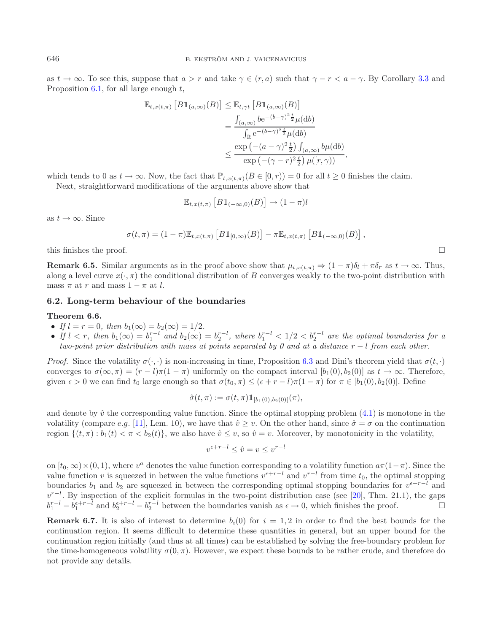as  $t \to \infty$ . To see this, suppose that  $a > r$  and take  $\gamma \in (r, a)$  such that  $\gamma - r < a - \gamma$ . By Corollary [3.3](#page-4-6) and Proposition [6.1,](#page-18-1) for all large enough  $t$ ,

$$
\mathbb{E}_{t,x(t,\pi)}\left[B1_{(a,\infty)}(B)\right] \leq \mathbb{E}_{t,\gamma t}\left[B1_{(a,\infty)}(B)\right]
$$
  
= 
$$
\frac{\int_{(a,\infty)} b e^{-(b-\gamma)^2 \frac{t}{2}} \mu(\mathrm{d}b)}{\int_{\mathbb{R}} e^{-(b-\gamma)^2 \frac{t}{2}} \mu(\mathrm{d}b)}
$$
  

$$
\leq \frac{\exp\left(-(a-\gamma)^2 \frac{t}{2}\right) \int_{(a,\infty)} b \mu(\mathrm{d}b)}{\exp\left(-(\gamma-r)^2 \frac{t}{2}\right) \mu([r,\gamma))},
$$

which tends to 0 as  $t \to \infty$ . Now, the fact that  $\mathbb{P}_{t,x(t,\pi)}(B \in [0,r)) = 0$  for all  $t \geq 0$  finishes the claim.

Next, straightforward modifications of the arguments above show that

$$
\mathbb{E}_{t,x(t,\pi)}\left[B\mathbb{1}_{(-\infty,0)}(B)\right] \to (1-\pi)l
$$

as  $t \to \infty$ . Since

$$
\sigma(t,\pi) = (1-\pi)\mathbb{E}_{t,x(t,\pi)}\left[B\mathbb{1}_{[0,\infty)}(B)\right] - \pi\mathbb{E}_{t,x(t,\pi)}\left[B\mathbb{1}_{(-\infty,0)}(B)\right],
$$

this finishes the proof.  $\Box$ 

**Remark 6.5.** Similar arguments as in the proof above show that  $\mu_{t,x(t,\pi)} \Rightarrow (1-\pi)\delta_t + \pi \delta_r$  as  $t \to \infty$ . Thus, along a level curve  $x(\cdot, \pi)$  the conditional distribution of B converges weakly to the two-point distribution with mass  $\pi$  at r and mass  $1 - \pi$  at l.

# **6.2. Long-term behaviour of the boundaries**

#### **Theorem 6.6.**

- *If*  $l = r = 0$ *, then*  $b_1(\infty) = b_2(\infty) = 1/2$ *.*
- If  $l < r$ , then  $b_1(\infty) = b_1^{r-l}$  and  $b_2(\infty) = b_2^{r-l}$ , where  $b_1^{r-l} < 1/2 < b_2^{r-l}$  are the optimal boundaries for a *two-point prior distribution with mass at points separated by 0 and at a distance* r − l *from each other.*

*Proof.* Since the volatility  $\sigma(\cdot, \cdot)$  is non-increasing in time, Proposition [6.3](#page-19-0) and Dini's theorem yield that  $\sigma(t, \cdot)$ converges to  $\sigma(\infty, \pi)=(r - l)\pi(1 - \pi)$  uniformly on the compact interval  $[b_1(0), b_2(0)]$  as  $t \to \infty$ . Therefore, given  $\epsilon > 0$  we can find  $t_0$  large enough so that  $\sigma(t_0, \pi) \leq (\epsilon + r - l)\pi(1 - \pi)$  for  $\pi \in [b_1(0), b_2(0)]$ . Define

$$
\hat{\sigma}(t,\pi) := \sigma(t,\pi) 1\!\!1_{[b_1(0),b_2(0)]}(\pi),
$$

and denote by  $\hat{v}$  the corresponding value function. Since the optimal stopping problem [\(4.1\)](#page-10-3) is monotone in the volatility (compare e.g. [\[11](#page-22-14)], Lem. 10), we have that  $\hat{v} \ge v$ . On the other hand, since  $\hat{\sigma} = \sigma$  on the continuation region  $\{(t, \pi) : b_1(t) < \pi < b_2(t)\}\)$ , we also have  $\hat{v} \leq v$ , so  $\hat{v} = v$ . Moreover, by monotonicity in the volatility,

$$
v^{\epsilon+r-l} \le \hat{v} = v \le v^{r-l}
$$

on  $[t_0, \infty) \times (0, 1)$ , where  $v^a$  denotes the value function corresponding to a volatility function  $a\pi(1-\pi)$ . Since the value function v is squeezed in between the value functions  $v^{c+r-l}$  and  $v^{r-l}$  from time  $t_0$ , the optimal stopping boundaries  $b_1$  and  $b_2$  are squeezed in between the corresponding optimal stopping boundaries for  $v^{e+r-l}$  and  $v^{r-l}$ . By inspection of the explicit formulas in the two-point distribution case (see [\[20\]](#page-22-15), Thm. 21.1), the gaps  $b_1^{r-l} - b_1^{\epsilon+r-l}$  and  $b_2^{\epsilon+r-l} - b_2^{r-l}$  between the boundaries vanish as  $\epsilon \to 0$ , which finishes the proof.

**Remark 6.7.** It is also of interest to determine  $b_i(0)$  for  $i = 1, 2$  in order to find the best bounds for the continuation region. It seems difficult to determine these quantities in general, but an upper bound for the continuation region initially (and thus at all times) can be established by solving the free-boundary problem for the time-homogeneous volatility  $\sigma(0, \pi)$ . However, we expect these bounds to be rather crude, and therefore do not provide any details.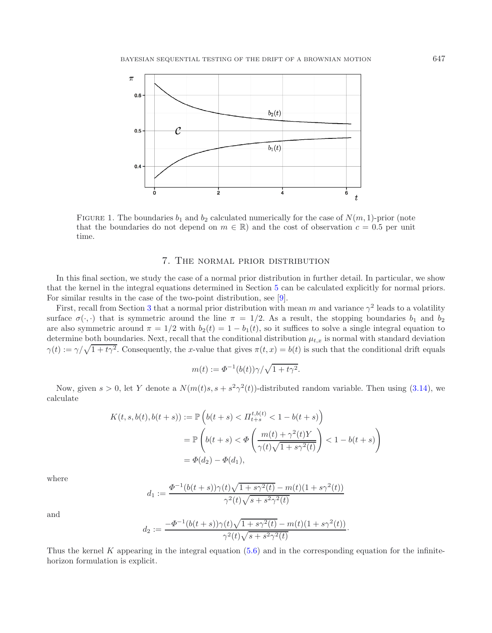

FIGURE 1. The boundaries  $b_1$  and  $b_2$  calculated numerically for the case of  $N(m, 1)$ -prior (note that the boundaries do not depend on  $m \in \mathbb{R}$ ) and the cost of observation  $c = 0.5$  per unit time.

# 7. The normal prior distribution

<span id="page-21-0"></span>In this final section, we study the case of a normal prior distribution in further detail. In particular, we show that the kernel in the integral equations determined in Section [5](#page-16-0) can be calculated explicitly for normal priors. For similar results in the case of the two-point distribution, see [\[9](#page-22-20)].

First, recall from Section [3](#page-3-0) that a normal prior distribution with mean m and variance  $\gamma^2$  leads to a volatility surface  $\sigma(\cdot, \cdot)$  that is symmetric around the line  $\pi = 1/2$ . As a result, the stopping boundaries  $b_1$  and  $b_2$ are also symmetric around  $\pi = 1/2$  with  $b_2(t) = 1 - b_1(t)$ , so it suffices to solve a single integral equation to determine both boundaries. Next, recall that the conditional distribution  $\mu_{t,x}$  is normal with standard deviation  $\gamma(t) := \gamma/\sqrt{1 + t\gamma^2}$ . Consequently, the x-value that gives  $\pi(t, x) = b(t)$  is such that the conditional drift equals

$$
m(t) := \Phi^{-1}(b(t))\gamma/\sqrt{1 + t\gamma^2}.
$$

Now, given  $s > 0$ , let Y denote a  $N(m(t)s, s + s^2\gamma^2(t))$ -distributed random variable. Then using [\(3.14\)](#page-7-2), we calculate

$$
K(t, s, b(t), b(t + s)) := \mathbb{P}\left(b(t + s) < H_{t+s}^{t, b(t)} < 1 - b(t + s)\right)
$$
\n
$$
= \mathbb{P}\left(b(t + s) < \Phi\left(\frac{m(t) + \gamma^2(t)Y}{\gamma(t)\sqrt{1 + s\gamma^2(t)}}\right) < 1 - b(t + s)\right)
$$
\n
$$
= \Phi(d_2) - \Phi(d_1),
$$

where

$$
d_1:=\frac{\varPhi^{-1}(b(t+s))\gamma(t)\sqrt{1+s\gamma^2(t)}-m(t)(1+s\gamma^2(t))}{\gamma^2(t)\sqrt{s+s^2\gamma^2(t)}}
$$

and

$$
d_2 := \frac{-\Phi^{-1}(b(t+s))\gamma(t)\sqrt{1+s\gamma^2(t)} - m(t)(1+s\gamma^2(t))}{\gamma^2(t)\sqrt{s+s^2\gamma^2(t)}}.
$$

Thus the kernel K appearing in the integral equation  $(5.6)$  and in the corresponding equation for the infinitehorizon formulation is explicit.